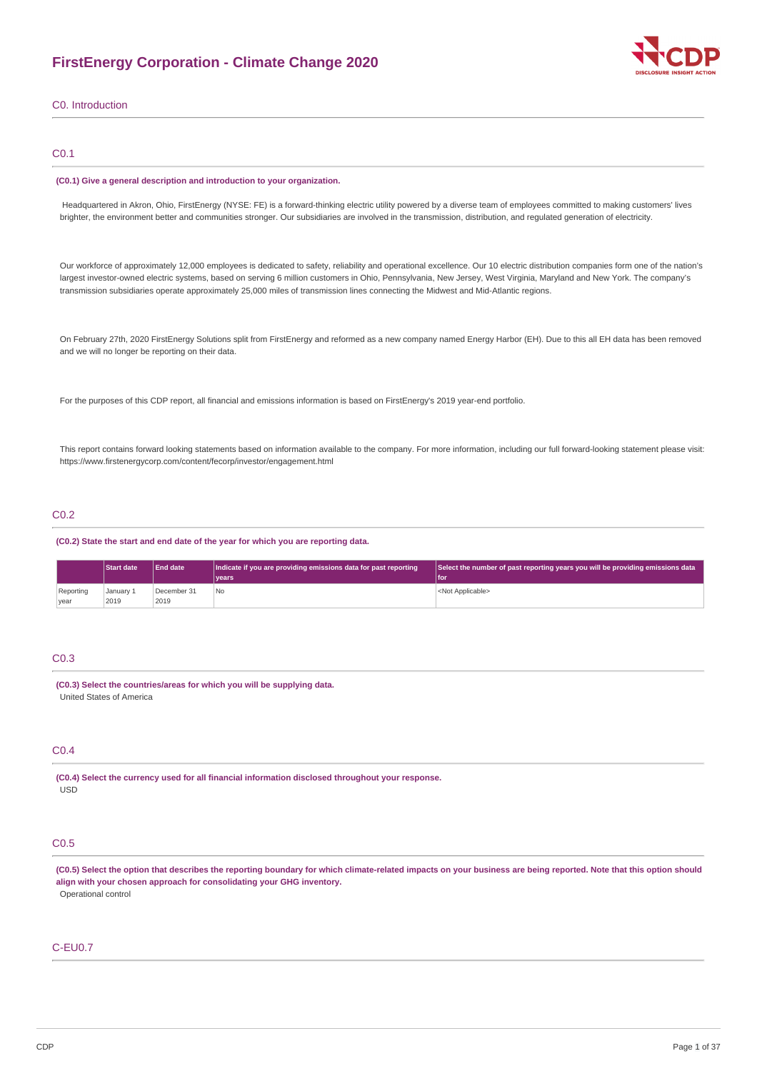## **FirstEnergy Corporation - Climate Change 2020**



C0. Introduction

### C0.1

#### **(C0.1) Give a general description and introduction to your organization.**

Headquartered in Akron, Ohio, FirstEnergy (NYSE: FE) is a forward-thinking electric utility powered by a diverse team of employees committed to making customers' lives brighter, the environment better and communities stronger. Our subsidiaries are involved in the transmission, distribution, and regulated generation of electricity.

Our workforce of approximately 12,000 employees is dedicated to safety, reliability and operational excellence. Our 10 electric distribution companies form one of the nation's largest investor-owned electric systems, based on serving 6 million customers in Ohio, Pennsylvania, New Jersey, West Virginia, Maryland and New York. The company's transmission subsidiaries operate approximately 25,000 miles of transmission lines connecting the Midwest and Mid-Atlantic regions.

On February 27th, 2020 FirstEnergy Solutions split from FirstEnergy and reformed as a new company named Energy Harbor (EH). Due to this all EH data has been removed and we will no longer be reporting on their data.

For the purposes of this CDP report, all financial and emissions information is based on FirstEnergy's 2019 year-end portfolio.

This report contains forward looking statements based on information available to the company. For more information, including our full forward-looking statement please visit: https://www.firstenergycorp.com/content/fecorp/investor/engagement.html

### C0.2

**(C0.2) State the start and end date of the year for which you are reporting data.**

|           | <b>Start date</b> | End date    | Indicate if you are providing emissions data for past reporting | Select the number of past reporting years you will be providing emissions data |
|-----------|-------------------|-------------|-----------------------------------------------------------------|--------------------------------------------------------------------------------|
|           |                   |             | vears                                                           | l for                                                                          |
| Reporting | January 1         | December 31 | N <sub>0</sub>                                                  | <not applicable=""></not>                                                      |
| year      | 2019              | 2019        |                                                                 |                                                                                |

### C0.3

**(C0.3) Select the countries/areas for which you will be supplying data.** United States of America

### C0.4

**(C0.4) Select the currency used for all financial information disclosed throughout your response.** USD

### C0.5

(C0.5) Select the option that describes the reporting boundary for which climate-related impacts on your business are being reported. Note that this option should **align with your chosen approach for consolidating your GHG inventory.** Operational control

### C-EU0.7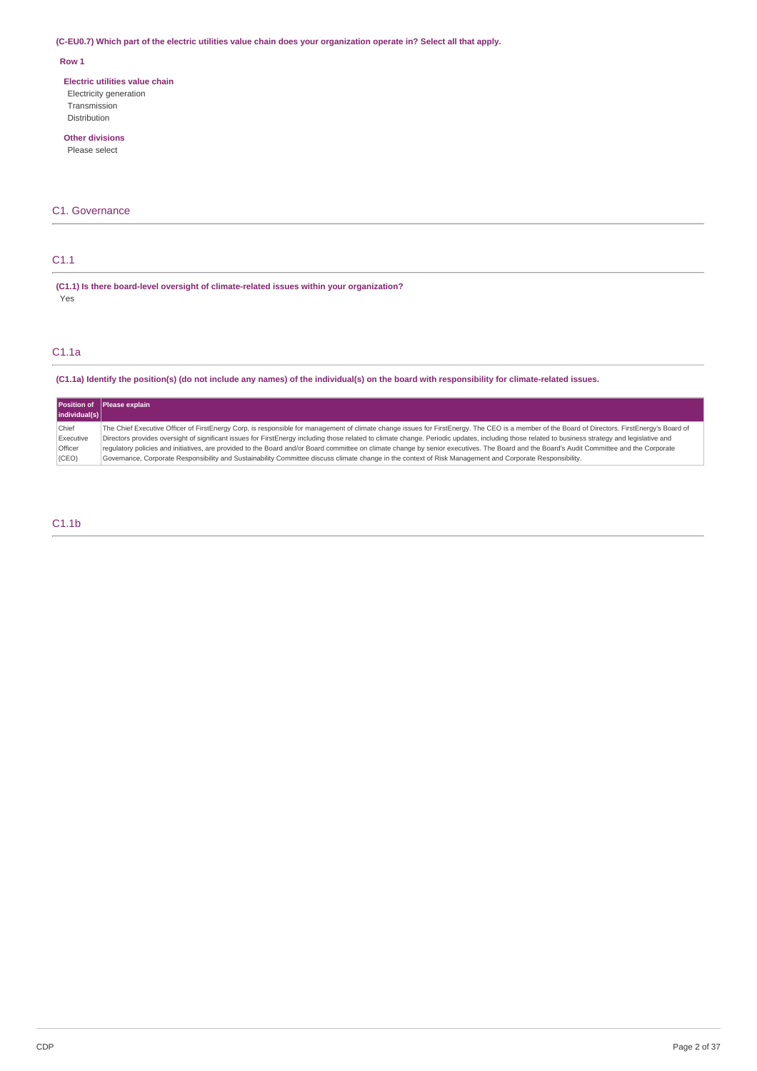### (C-EU0.7) Which part of the electric utilities value chain does your organization operate in? Select all that apply.

### **Row 1**

**Electric utilities value chain** Electricity generation Transmission Distribution

### **Other divisions**

Please select

### C1. Governance

### C1.1

**(C1.1) Is there board-level oversight of climate-related issues within your organization?** Yes

### C1.1a

(C1.1a) Identify the position(s) (do not include any names) of the individual(s) on the board with responsibility for climate-related issues.

|               | Position of Please explain                                                                                                                                                                       |
|---------------|--------------------------------------------------------------------------------------------------------------------------------------------------------------------------------------------------|
| individual(s) |                                                                                                                                                                                                  |
| Chief         | The Chief Executive Officer of FirstEnergy Corp, is responsible for management of climate change issues for FirstEnergy. The CEO is a member of the Board of Directors. FirstEnergy's Board of   |
| Executive     | Directors provides oversight of significant issues for FirstEnergy including those related to climate change. Periodic updates, including those related to business strategy and legislative and |
| Officer       | requlatory policies and initiatives, are provided to the Board and/or Board committee on climate change by senior executives. The Board and the Board's Audit Committee and the Corporate        |
| (CEO)         | Governance, Corporate Responsibility and Sustainability Committee discuss climate change in the context of Risk Management and Corporate Responsibility.                                         |

### C1.1b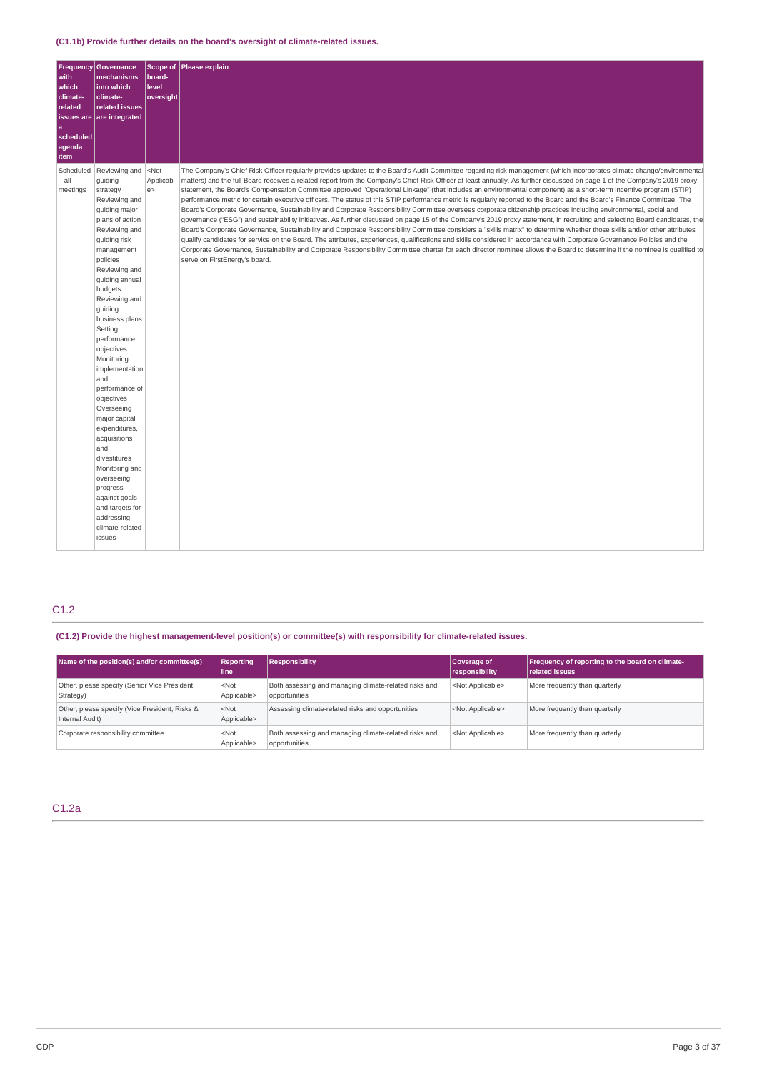| <b>Frequency</b><br>with | <b>Governance</b><br>mechanisms | Scope of<br>board-<br>level | Please explain                                                                                                                                                              |
|--------------------------|---------------------------------|-----------------------------|-----------------------------------------------------------------------------------------------------------------------------------------------------------------------------|
| which<br>climate-        | into which<br>climate-          | oversight                   |                                                                                                                                                                             |
| related                  | related issues                  |                             |                                                                                                                                                                             |
| a                        | issues are are integrated       |                             |                                                                                                                                                                             |
| scheduled                |                                 |                             |                                                                                                                                                                             |
| agenda                   |                                 |                             |                                                                                                                                                                             |
| item<br>Scheduled        | Reviewing and                   | $<$ Not                     | The Company's Chief Risk Officer regularly provides updates to the Board's Audit Committee regarding risk management (which incorporates climate change/environmental       |
| $-$ all                  | guiding                         | Applicabl                   | matters) and the full Board receives a related report from the Company's Chief Risk Officer at least annually. As further discussed on page 1 of the Company's 2019 proxy   |
| meetings                 | strategy                        | e                           | statement, the Board's Compensation Committee approved "Operational Linkage" (that includes an environmental component) as a short-term incentive program (STIP)            |
|                          | Reviewing and                   |                             | performance metric for certain executive officers. The status of this STIP performance metric is regularly reported to the Board and the Board's Finance Committee. The     |
|                          | quiding major                   |                             | Board's Corporate Governance, Sustainability and Corporate Responsibility Committee oversees corporate citizenship practices including environmental, social and            |
|                          | plans of action                 |                             | governance ("ESG") and sustainability initiatives. As further discussed on page 15 of the Company's 2019 proxy statement, in recruiting and selecting Board candidates, the |
|                          | Reviewing and                   |                             | Board's Corporate Governance, Sustainability and Corporate Responsibility Committee considers a "skills matrix" to determine whether those skills and/or other attributes   |
|                          | guiding risk                    |                             | qualify candidates for service on the Board. The attributes, experiences, qualifications and skills considered in accordance with Corporate Governance Policies and the     |
|                          | management<br>policies          |                             | Corporate Governance, Sustainability and Corporate Responsibility Committee charter for each director nominee allows the Board to determine if the nominee is qualified to  |
|                          | Reviewing and                   |                             | serve on FirstEnergy's board.                                                                                                                                               |
|                          | quiding annual                  |                             |                                                                                                                                                                             |
|                          | budgets                         |                             |                                                                                                                                                                             |
|                          | Reviewing and                   |                             |                                                                                                                                                                             |
|                          | guiding                         |                             |                                                                                                                                                                             |
|                          | business plans                  |                             |                                                                                                                                                                             |
|                          | Setting                         |                             |                                                                                                                                                                             |
|                          | performance                     |                             |                                                                                                                                                                             |
|                          | objectives                      |                             |                                                                                                                                                                             |
|                          | Monitoring                      |                             |                                                                                                                                                                             |
|                          | implementation<br>and           |                             |                                                                                                                                                                             |
|                          | performance of                  |                             |                                                                                                                                                                             |
|                          | objectives                      |                             |                                                                                                                                                                             |
|                          | Overseeing                      |                             |                                                                                                                                                                             |
|                          | major capital                   |                             |                                                                                                                                                                             |
|                          | expenditures,                   |                             |                                                                                                                                                                             |
|                          | acquisitions                    |                             |                                                                                                                                                                             |
|                          | and                             |                             |                                                                                                                                                                             |
|                          | divestitures                    |                             |                                                                                                                                                                             |
|                          | Monitoring and<br>overseeing    |                             |                                                                                                                                                                             |
|                          | progress                        |                             |                                                                                                                                                                             |
|                          | against goals                   |                             |                                                                                                                                                                             |
|                          | and targets for                 |                             |                                                                                                                                                                             |
|                          | addressing                      |                             |                                                                                                                                                                             |
|                          | climate-related                 |                             |                                                                                                                                                                             |
|                          | issues                          |                             |                                                                                                                                                                             |
|                          |                                 |                             |                                                                                                                                                                             |

## C1.2

**(C1.2) Provide the highest management-level position(s) or committee(s) with responsibility for climate-related issues.**

| Name of the position(s) and/or committee(s)                       | <b>Reporting</b><br>line | <b>Responsibility</b>                                                  | <b>Coverage of</b><br>responsibility | Frequency of reporting to the board on climate-<br>related issues |
|-------------------------------------------------------------------|--------------------------|------------------------------------------------------------------------|--------------------------------------|-------------------------------------------------------------------|
| Other, please specify (Senior Vice President,<br>Strategy)        | $<$ Not<br>Applicable>   | Both assessing and managing climate-related risks and<br>opportunities | <not applicable=""></not>            | More frequently than quarterly                                    |
| Other, please specify (Vice President, Risks &<br>Internal Audit) | $<$ Not<br>Applicable>   | Assessing climate-related risks and opportunities                      | <not applicable=""></not>            | More frequently than quarterly                                    |
| Corporate responsibility committee                                | $<$ Not<br>Applicable>   | Both assessing and managing climate-related risks and<br>opportunities | <not applicable=""></not>            | More frequently than quarterly                                    |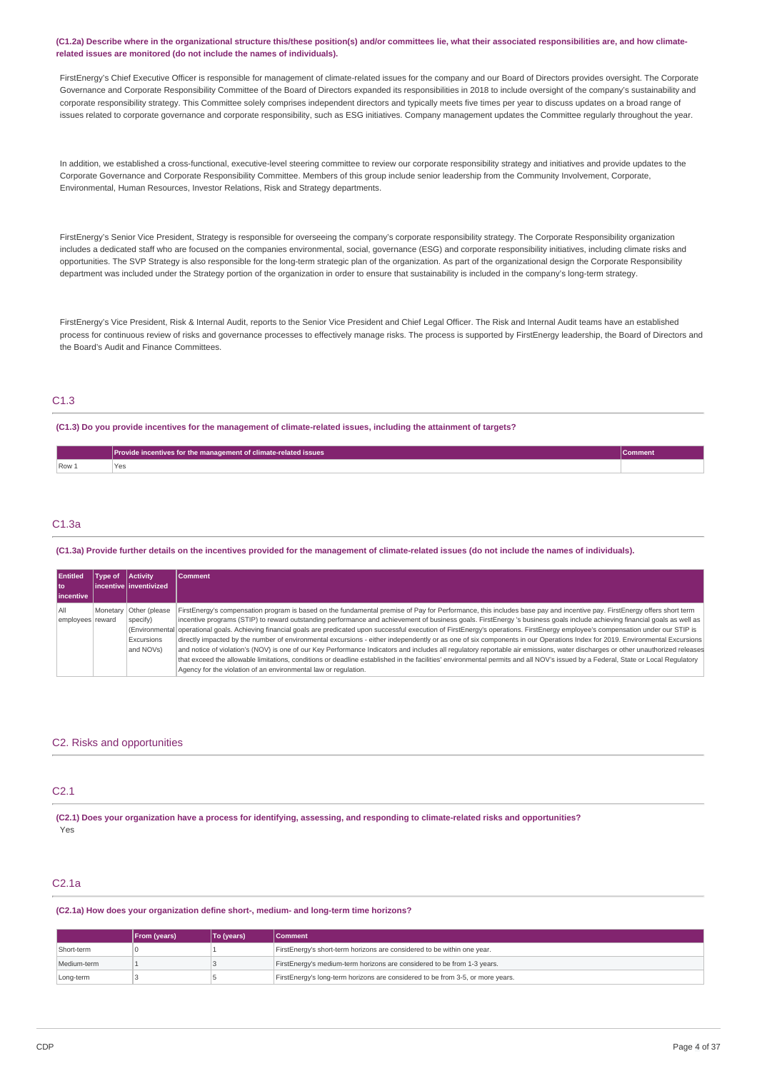#### (C1.2a) Describe where in the organizational structure this/these position(s) and/or committees lie, what their associated responsibilities are, and how climate**related issues are monitored (do not include the names of individuals).**

FirstEnergy's Chief Executive Officer is responsible for management of climate-related issues for the company and our Board of Directors provides oversight. The Corporate Governance and Corporate Responsibility Committee of the Board of Directors expanded its responsibilities in 2018 to include oversight of the company's sustainability and corporate responsibility strategy. This Committee solely comprises independent directors and typically meets five times per year to discuss updates on a broad range of issues related to corporate governance and corporate responsibility, such as ESG initiatives. Company management updates the Committee regularly throughout the year.

In addition, we established a cross-functional, executive-level steering committee to review our corporate responsibility strategy and initiatives and provide updates to the Corporate Governance and Corporate Responsibility Committee. Members of this group include senior leadership from the Community Involvement, Corporate, Environmental, Human Resources, Investor Relations, Risk and Strategy departments.

FirstEnergy's Senior Vice President, Strategy is responsible for overseeing the company's corporate responsibility strategy. The Corporate Responsibility organization includes a dedicated staff who are focused on the companies environmental, social, governance (ESG) and corporate responsibility initiatives, including climate risks and opportunities. The SVP Strategy is also responsible for the long-term strategic plan of the organization. As part of the organizational design the Corporate Responsibility department was included under the Strategy portion of the organization in order to ensure that sustainability is included in the company's long-term strategy.

FirstEnergy's Vice President, Risk & Internal Audit, reports to the Senior Vice President and Chief Legal Officer. The Risk and Internal Audit teams have an established process for continuous review of risks and governance processes to effectively manage risks. The process is supported by FirstEnergy leadership, the Board of Directors and the Board's Audit and Finance Committees.

### C1.3

(C1.3) Do you provide incentives for the management of climate-related issues, including the attainment of targets?

|       | Provide incentives for the management of climate-related issues | Comment |
|-------|-----------------------------------------------------------------|---------|
| Row 1 | Yes<br>__                                                       |         |
|       |                                                                 |         |

### C1.3a

### (C1.3a) Provide further details on the incentives provided for the management of climate-related issues (do not include the names of individuals).

| <b>Entitled</b>   | Type of  | <b>Activity</b>         | <b>Comment</b>                                                                                                                                                                          |
|-------------------|----------|-------------------------|-----------------------------------------------------------------------------------------------------------------------------------------------------------------------------------------|
| l to              |          | incentive linventivized |                                                                                                                                                                                         |
| <b>lincentive</b> |          |                         |                                                                                                                                                                                         |
| All               | Monetary | Other (please           | FirstEnergy's compensation program is based on the fundamental premise of Pay for Performance, this includes base pay and incentive pay. FirstEnergy offers short term                  |
| employees reward  |          | specify)                | incentive programs (STIP) to reward outstanding performance and achievement of business goals. FirstEnergy 's business goals include achieving financial goals as well as               |
|                   |          |                         | (Environmental operational goals. Achieving financial goals are predicated upon successful execution of FirstEnergy's operations. FirstEnergy employee's compensation under our STIP is |
|                   |          | Excursions              | directly impacted by the number of environmental excursions - either independently or as one of six components in our Operations Index for 2019. Environmental Excursions               |
|                   |          | and NOVs)               | and notice of violation's (NOV) is one of our Key Performance Indicators and includes all regulatory reportable air emissions, water discharges or other unauthorized releases          |
|                   |          |                         | that exceed the allowable limitations, conditions or deadline established in the facilities' environmental permits and all NOV's issued by a Federal. State or Local Regulatory         |
|                   |          |                         | Agency for the violation of an environmental law or regulation.                                                                                                                         |

### C2. Risks and opportunities

### C2.1

(C2.1) Does your organization have a process for identifying, assessing, and responding to climate-related risks and opportunities? Yes

### C2.1a

#### **(C2.1a) How does your organization define short-, medium- and long-term time horizons?**

|             | <b>From (years)</b> | To (vears) | <b>Comment</b>                                                                 |
|-------------|---------------------|------------|--------------------------------------------------------------------------------|
| Short-term  |                     |            | FirstEnergy's short-term horizons are considered to be within one year.        |
| Medium-term |                     |            | FirstEnergy's medium-term horizons are considered to be from 1-3 years.        |
| Long-term   |                     |            | FirstEnergy's long-term horizons are considered to be from 3-5, or more years. |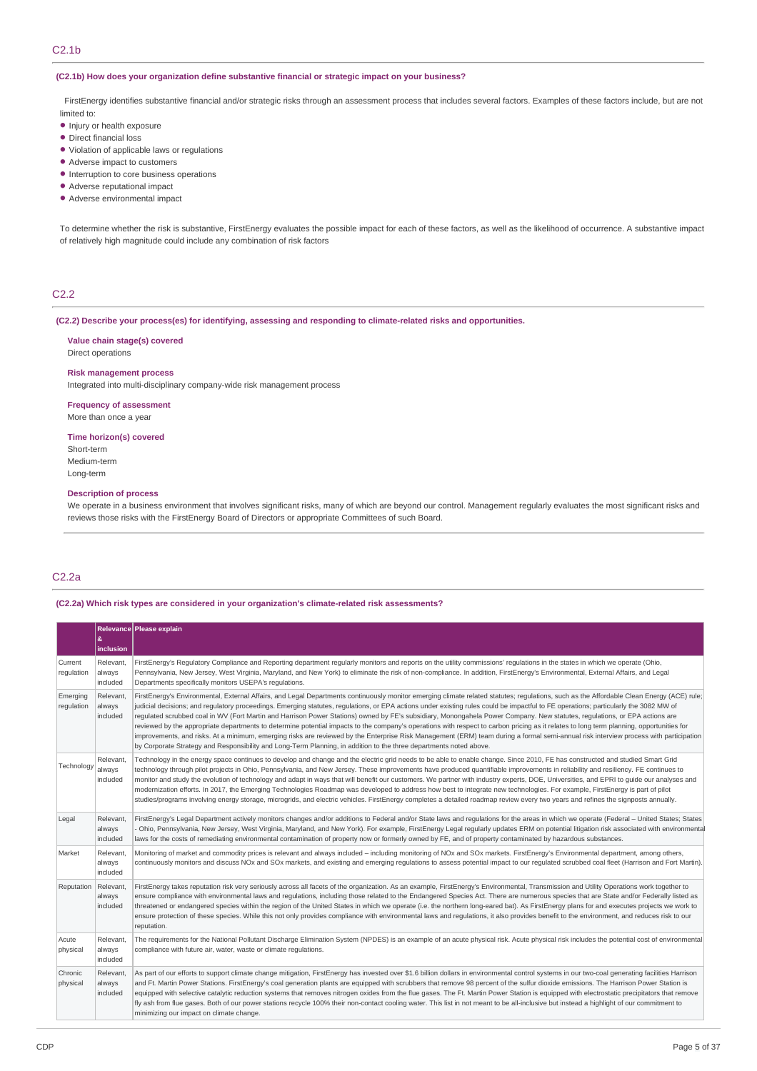### C2.1b

### **(C2.1b) How does your organization define substantive financial or strategic impact on your business?**

FirstEnergy identifies substantive financial and/or strategic risks through an assessment process that includes several factors. Examples of these factors include, but are not limited to:

- **•** Injury or health exposure
- Direct financial loss
- Violation of applicable laws or regulations •
- Adverse impact to customers •
- Interruption to core business operations
- Adverse reputational impact •
- Adverse environmental impact •

To determine whether the risk is substantive, FirstEnergy evaluates the possible impact for each of these factors, as well as the likelihood of occurrence. A substantive impact of relatively high magnitude could include any combination of risk factors

### C2.2

#### **(C2.2) Describe your process(es) for identifying, assessing and responding to climate-related risks and opportunities.**

#### **Value chain stage(s) covered** Direct operations

#### **Risk management process**

Integrated into multi-disciplinary company-wide risk management process

#### **Frequency of assessment** More than once a year

**Time horizon(s) covered**

- Short-term
- Medium-term Long-term

#### **Description of process**

We operate in a business environment that involves significant risks, many of which are beyond our control. Management regularly evaluates the most significant risks and reviews those risks with the FirstEnergy Board of Directors or appropriate Committees of such Board.

## C2.2a

#### **(C2.2a) Which risk types are considered in your organization's climate-related risk assessments?**

|                        |                                 | Relevance Please explain                                                                                                                                                                                                                                                                                                                                                                                                                                                                                                                                                                                                                                                                                                                                                                                                                                                                                                                                                                                                                                                   |
|------------------------|---------------------------------|----------------------------------------------------------------------------------------------------------------------------------------------------------------------------------------------------------------------------------------------------------------------------------------------------------------------------------------------------------------------------------------------------------------------------------------------------------------------------------------------------------------------------------------------------------------------------------------------------------------------------------------------------------------------------------------------------------------------------------------------------------------------------------------------------------------------------------------------------------------------------------------------------------------------------------------------------------------------------------------------------------------------------------------------------------------------------|
|                        | &<br>inclusion                  |                                                                                                                                                                                                                                                                                                                                                                                                                                                                                                                                                                                                                                                                                                                                                                                                                                                                                                                                                                                                                                                                            |
| Current<br>regulation  | Relevant,<br>always<br>included | FirstEnergy's Regulatory Compliance and Reporting department regularly monitors and reports on the utility commissions' regulations in the states in which we operate (Ohio,<br>Pennsylvania, New Jersey, West Virginia, Maryland, and New York) to eliminate the risk of non-compliance. In addition, FirstEnergy's Environmental, External Affairs, and Legal<br>Departments specifically monitors USEPA's regulations.                                                                                                                                                                                                                                                                                                                                                                                                                                                                                                                                                                                                                                                  |
| Emerging<br>regulation | Relevant,<br>always<br>included | FirstEnergy's Environmental, External Affairs, and Legal Departments continuously monitor emerging climate related statutes; regulations, such as the Affordable Clean Energy (ACE) rule;<br>judicial decisions; and regulatory proceedings. Emerging statutes, regulations, or EPA actions under existing rules could be impactful to FE operations; particularly the 3082 MW of<br>requlated scrubbed coal in WV (Fort Martin and Harrison Power Stations) owned by FE's subsidiary, Monongahela Power Company. New statutes, requlations, or EPA actions are<br>reviewed by the appropriate departments to determine potential impacts to the company's operations with respect to carbon pricing as it relates to long term planning, opportunities for<br>improvements, and risks. At a minimum, emerging risks are reviewed by the Enterprise Risk Management (ERM) team during a formal semi-annual risk interview process with participation<br>by Corporate Strategy and Responsibility and Long-Term Planning, in addition to the three departments noted above. |
| Technology             | Relevant.<br>always<br>included | Technology in the energy space continues to develop and change and the electric grid needs to be able to enable change. Since 2010, FE has constructed and studied Smart Grid<br>technology through pilot projects in Ohio, Pennsylvania, and New Jersey. These improvements have produced quantifiable improvements in reliability and resiliency. FE continues to<br>monitor and study the evolution of technology and adapt in ways that will benefit our customers. We partner with industry experts, DOE, Universities, and EPRI to quide our analyses and<br>modernization efforts. In 2017, the Emerging Technologies Roadmap was developed to address how best to integrate new technologies. For example, FirstEnergy is part of pilot<br>studies/programs involving energy storage, microgrids, and electric vehicles. FirstEnergy completes a detailed roadmap review every two years and refines the signposts annually.                                                                                                                                       |
| Legal                  | Relevant,<br>always<br>included | FirstEnergy's Legal Department actively monitors changes and/or additions to Federal and/or State laws and regulations for the areas in which we operate (Federal - United States; States<br>Ohio, Pennsylvania, New Jersey, West Virginia, Maryland, and New York). For example, FirstEnergy Legal regularly updates ERM on potential litigation risk associated with environmental<br>laws for the costs of remediating environmental contamination of property now or formerly owned by FE, and of property contaminated by hazardous substances.                                                                                                                                                                                                                                                                                                                                                                                                                                                                                                                       |
| Market                 | Relevant<br>always<br>included  | Monitoring of market and commodity prices is relevant and always included – including monitoring of NOx and SOx markets. FirstEnergy's Environmental department, among others,<br>continuously monitors and discuss NOx and SOx markets, and existing and emerging regulations to assess potential impact to our regulated scrubbed coal fleet (Harrison and Fort Martin).                                                                                                                                                                                                                                                                                                                                                                                                                                                                                                                                                                                                                                                                                                 |
| Reputation             | Relevant,<br>always<br>included | FirstEnergy takes reputation risk very seriously across all facets of the organization. As an example, FirstEnergy's Environmental, Transmission and Utility Operations work together to<br>ensure compliance with environmental laws and regulations, including those related to the Endangered Species Act. There are numerous species that are State and/or Federally listed as<br>threatened or endangered species within the region of the United States in which we operate (i.e. the northern long-eared bat). As FirstEnergy plans for and executes projects we work to<br>ensure protection of these species. While this not only provides compliance with environmental laws and regulations, it also provides benefit to the environment, and reduces risk to our<br>reputation.                                                                                                                                                                                                                                                                                |
| Acute<br>physical      | Relevant,<br>always<br>included | The requirements for the National Pollutant Discharge Elimination System (NPDES) is an example of an acute physical risk. Acute physical risk includes the potential cost of environmental<br>compliance with future air, water, waste or climate regulations.                                                                                                                                                                                                                                                                                                                                                                                                                                                                                                                                                                                                                                                                                                                                                                                                             |
| Chronic<br>physical    | Relevant,<br>always<br>included | As part of our efforts to support climate change mitigation, FirstEnergy has invested over \$1.6 billion dollars in environmental control systems in our two-coal generating facilities Harrison<br>and Ft. Martin Power Stations. FirstEnergy's coal generation plants are equipped with scrubbers that remove 98 percent of the sulfur dioxide emissions. The Harrison Power Station is<br>equipped with selective catalytic reduction systems that removes nitrogen oxides from the flue gases. The Ft. Martin Power Station is equipped with electrostatic precipitators that remove<br>fly ash from flue gases. Both of our power stations recycle 100% their non-contact cooling water. This list in not meant to be all-inclusive but instead a highlight of our commitment to<br>minimizing our impact on climate change.                                                                                                                                                                                                                                          |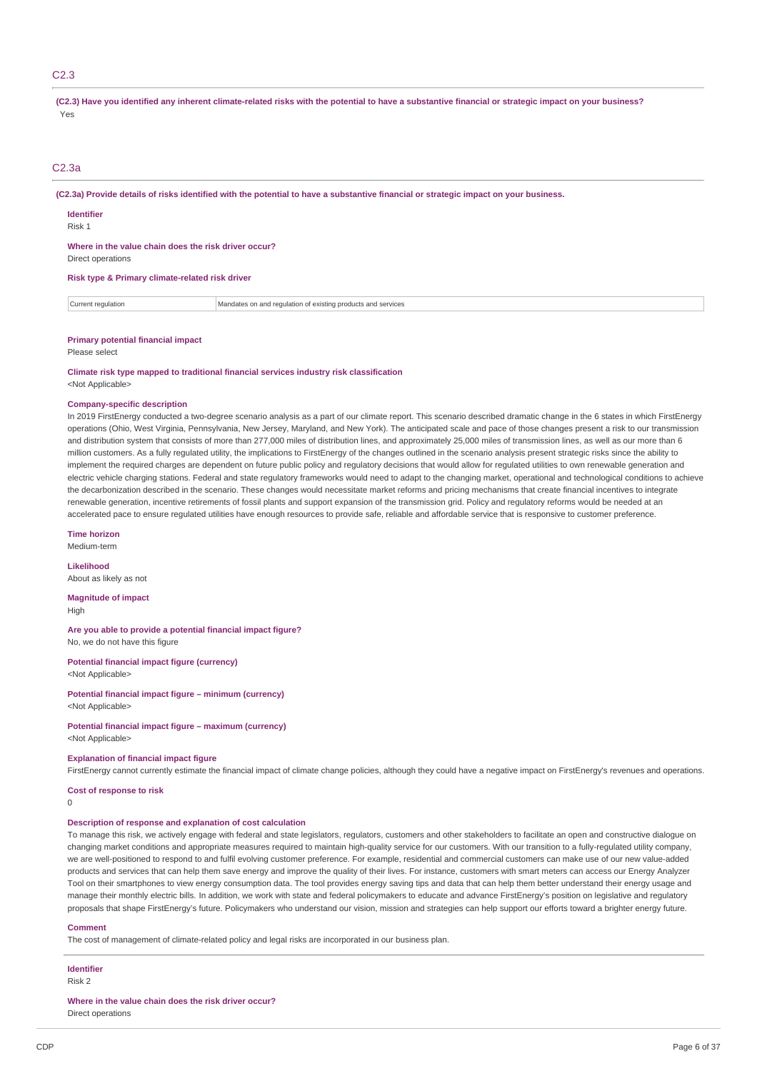### C2.3

(C2.3) Have you identified any inherent climate-related risks with the potential to have a substantive financial or strategic impact on your business? Yes

### C2.3a

(C2.3a) Provide details of risks identified with the potential to have a substantive financial or strategic impact on your business.

**Identifier**

Risk 1

#### **Where in the value chain does the risk driver occur?**

Direct operations

#### **Risk type & Primary climate-related risk driver**

| ∴Curren ∪<br>* regulation · | Mandates<br>equiation of existing<br>. SAMILAS<br>and rec<br>™rs ano<br>опст<br>services |  |
|-----------------------------|------------------------------------------------------------------------------------------|--|
|-----------------------------|------------------------------------------------------------------------------------------|--|

#### **Primary potential financial impact**

Please select

**Climate risk type mapped to traditional financial services industry risk classification** <Not Applicable>

#### **Company-specific description**

In 2019 FirstEnergy conducted a two-degree scenario analysis as a part of our climate report. This scenario described dramatic change in the 6 states in which FirstEnergy operations (Ohio, West Virginia, Pennsylvania, New Jersey, Maryland, and New York). The anticipated scale and pace of those changes present a risk to our transmission and distribution system that consists of more than 277,000 miles of distribution lines, and approximately 25,000 miles of transmission lines, as well as our more than 6 million customers. As a fully regulated utility, the implications to FirstEnergy of the changes outlined in the scenario analysis present strategic risks since the ability to implement the required charges are dependent on future public policy and regulatory decisions that would allow for regulated utilities to own renewable generation and electric vehicle charging stations. Federal and state regulatory frameworks would need to adapt to the changing market, operational and technological conditions to achieve the decarbonization described in the scenario. These changes would necessitate market reforms and pricing mechanisms that create financial incentives to integrate renewable generation, incentive retirements of fossil plants and support expansion of the transmission grid. Policy and regulatory reforms would be needed at an accelerated pace to ensure regulated utilities have enough resources to provide safe, reliable and affordable service that is responsive to customer preference.

#### **Time horizon**

Medium-term

**Likelihood** About as likely as not

**Magnitude of impact**

High

**Are you able to provide a potential financial impact figure?** No, we do not have this figure

**Potential financial impact figure (currency)** <Not Applicable>

**Potential financial impact figure – minimum (currency)** <Not Applicable>

#### **Potential financial impact figure – maximum (currency)** <Not Applicable>

### **Explanation of financial impact figure**

FirstEnergy cannot currently estimate the financial impact of climate change policies, although they could have a negative impact on FirstEnergy's revenues and operations. **Cost of response to risk**

### $\theta$

### **Description of response and explanation of cost calculation**

To manage this risk, we actively engage with federal and state legislators, regulators, customers and other stakeholders to facilitate an open and constructive dialogue on changing market conditions and appropriate measures required to maintain high-quality service for our customers. With our transition to a fully-regulated utility company, we are well-positioned to respond to and fulfil evolving customer preference. For example, residential and commercial customers can make use of our new value-added products and services that can help them save energy and improve the quality of their lives. For instance, customers with smart meters can access our Energy Analyzer Tool on their smartphones to view energy consumption data. The tool provides energy saving tips and data that can help them better understand their energy usage and manage their monthly electric bills. In addition, we work with state and federal policymakers to educate and advance FirstEnergy's position on legislative and regulatory proposals that shape FirstEnergy's future. Policymakers who understand our vision, mission and strategies can help support our efforts toward a brighter energy future.

#### **Comment**

The cost of management of climate-related policy and legal risks are incorporated in our business plan.

## **Identifier**

Risk 2

**Where in the value chain does the risk driver occur?**

Direct operations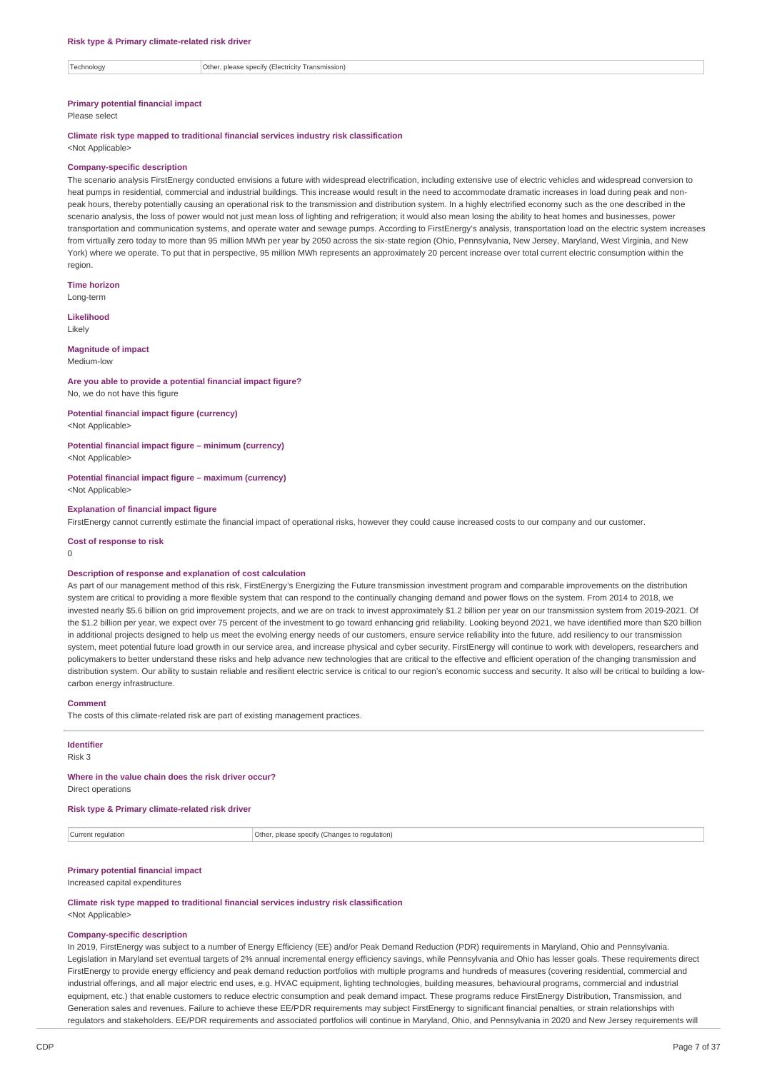Technology **Other, please specify (Electricity Transmission)** 

#### **Primary potential financial impact**

Please select

#### **Climate risk type mapped to traditional financial services industry risk classification** <Not Applicable>

#### **Company-specific description**

The scenario analysis FirstEnergy conducted envisions a future with widespread electrification, including extensive use of electric vehicles and widespread conversion to heat pumps in residential, commercial and industrial buildings. This increase would result in the need to accommodate dramatic increases in load during peak and nonpeak hours, thereby potentially causing an operational risk to the transmission and distribution system. In a highly electrified economy such as the one described in the scenario analysis, the loss of power would not just mean loss of lighting and refrigeration; it would also mean losing the ability to heat homes and businesses, power transportation and communication systems, and operate water and sewage pumps. According to FirstEnergy's analysis, transportation load on the electric system increases from virtually zero today to more than 95 million MWh per year by 2050 across the six-state region (Ohio, Pennsylvania, New Jersey, Maryland, West Virginia, and New York) where we operate. To put that in perspective, 95 million MWh represents an approximately 20 percent increase over total current electric consumption within the region

**Time horizon**

Long-term

**Likelihood** Likely

#### **Magnitude of impact**

Medium-low

## **Are you able to provide a potential financial impact figure?**

No, we do not have this figure

#### **Potential financial impact figure (currency)** <Not Applicable>

**Potential financial impact figure – minimum (currency)**

<Not Applicable>

#### **Potential financial impact figure – maximum (currency)** <Not Applicable>

#### **Explanation of financial impact figure**

FirstEnergy cannot currently estimate the financial impact of operational risks, however they could cause increased costs to our company and our customer.

**Cost of response to risk**

 $\Omega$ 

#### **Description of response and explanation of cost calculation**

As part of our management method of this risk, FirstEnergy's Energizing the Future transmission investment program and comparable improvements on the distribution system are critical to providing a more flexible system that can respond to the continually changing demand and power flows on the system. From 2014 to 2018, we invested nearly \$5.6 billion on grid improvement projects, and we are on track to invest approximately \$1.2 billion per year on our transmission system from 2019-2021. Of the \$1.2 billion per year, we expect over 75 percent of the investment to go toward enhancing grid reliability. Looking beyond 2021, we have identified more than \$20 billion in additional projects designed to help us meet the evolving energy needs of our customers, ensure service reliability into the future, add resiliency to our transmission system, meet potential future load growth in our service area, and increase physical and cyber security. FirstEnergy will continue to work with developers, researchers and policymakers to better understand these risks and help advance new technologies that are critical to the effective and efficient operation of the changing transmission and distribution system. Our ability to sustain reliable and resilient electric service is critical to our region's economic success and security. It also will be critical to building a lowcarbon energy infrastructure.

### **Comment**

The costs of this climate-related risk are part of existing management practices.

### **Identifier**

Risk 3

### **Where in the value chain does the risk driver occur?**

Direct operations

### **Risk type & Primary climate-related risk driver**

Current regulation Current regulation Current regulation

### **Primary potential financial impact**

#### Increased capital expenditures

**Climate risk type mapped to traditional financial services industry risk classification** <Not Applicable>

#### **Company-specific description**

In 2019, FirstEnergy was subject to a number of Energy Efficiency (EE) and/or Peak Demand Reduction (PDR) requirements in Maryland, Ohio and Pennsylvania. Legislation in Maryland set eventual targets of 2% annual incremental energy efficiency savings, while Pennsylvania and Ohio has lesser goals. These requirements direct FirstEnergy to provide energy efficiency and peak demand reduction portfolios with multiple programs and hundreds of measures (covering residential, commercial and industrial offerings, and all major electric end uses, e.g. HVAC equipment, lighting technologies, building measures, behavioural programs, commercial and industrial equipment, etc.) that enable customers to reduce electric consumption and peak demand impact. These programs reduce FirstEnergy Distribution, Transmission, and Generation sales and revenues. Failure to achieve these EE/PDR requirements may subject FirstEnergy to significant financial penalties, or strain relationships with regulators and stakeholders. EE/PDR requirements and associated portfolios will continue in Maryland, Ohio, and Pennsylvania in 2020 and New Jersey requirements will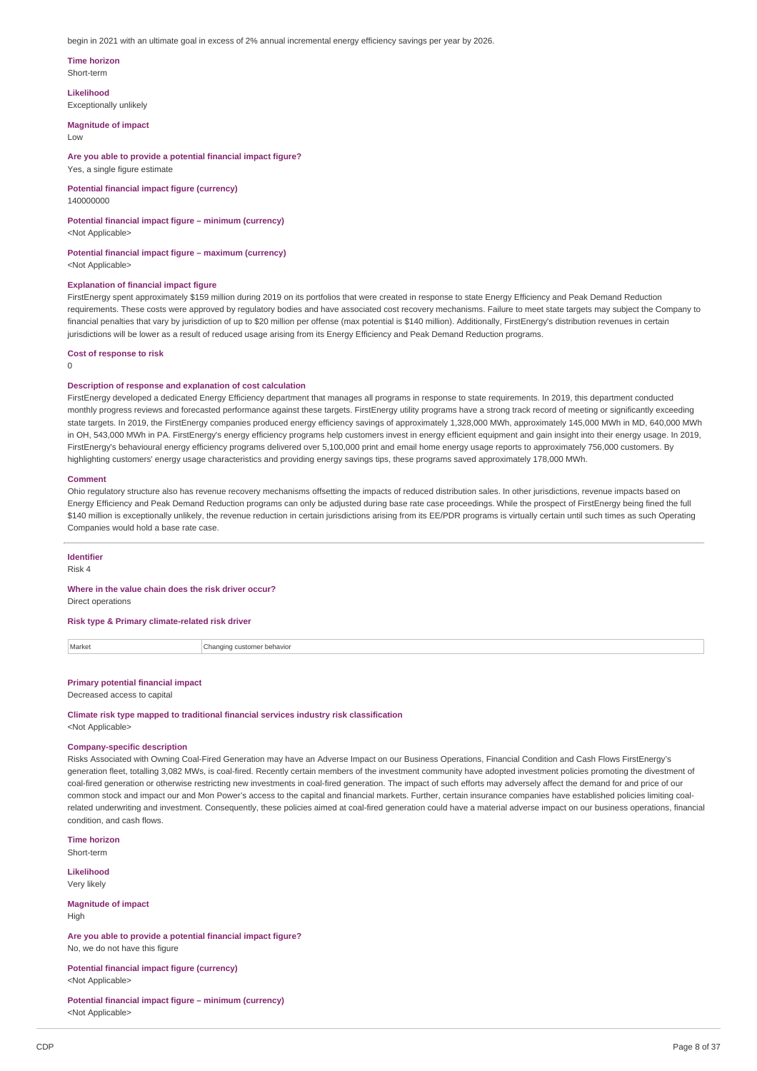begin in 2021 with an ultimate goal in excess of 2% annual incremental energy efficiency savings per year by 2026.

**Time horizon**

Short-term

**Likelihood**

Exceptionally unlikely

**Magnitude of impact**  $\overline{L}$   $\Omega$ 

**Are you able to provide a potential financial impact figure?** Yes, a single figure estimate

**Potential financial impact figure (currency)** 140000000

**Potential financial impact figure – minimum (currency)** <Not Applicable>

**Potential financial impact figure – maximum (currency)** <Not Applicable>

#### **Explanation of financial impact figure**

FirstEnergy spent approximately \$159 million during 2019 on its portfolios that were created in response to state Energy Efficiency and Peak Demand Reduction requirements. These costs were approved by regulatory bodies and have associated cost recovery mechanisms. Failure to meet state targets may subject the Company to financial penalties that vary by jurisdiction of up to \$20 million per offense (max potential is \$140 million). Additionally, FirstEnergy's distribution revenues in certain jurisdictions will be lower as a result of reduced usage arising from its Energy Efficiency and Peak Demand Reduction programs.

**Cost of response to risk**

 $\theta$ 

### **Description of response and explanation of cost calculation**

FirstEnergy developed a dedicated Energy Efficiency department that manages all programs in response to state requirements. In 2019, this department conducted monthly progress reviews and forecasted performance against these targets. FirstEnergy utility programs have a strong track record of meeting or significantly exceeding state targets. In 2019, the FirstEnergy companies produced energy efficiency savings of approximately 1,328,000 MWh, approximately 145,000 MWh in MD, 640,000 MWh in OH, 543,000 MWh in PA. FirstEnergy's energy efficiency programs help customers invest in energy efficient equipment and gain insight into their energy usage. In 2019, FirstEnergy's behavioural energy efficiency programs delivered over 5,100,000 print and email home energy usage reports to approximately 756,000 customers. By highlighting customers' energy usage characteristics and providing energy savings tips, these programs saved approximately 178,000 MWh.

**Comment**

Ohio regulatory structure also has revenue recovery mechanisms offsetting the impacts of reduced distribution sales. In other jurisdictions, revenue impacts based on Energy Efficiency and Peak Demand Reduction programs can only be adjusted during base rate case proceedings. While the prospect of FirstEnergy being fined the full \$140 million is exceptionally unlikely, the revenue reduction in certain jurisdictions arising from its EE/PDR programs is virtually certain until such times as such Operating Companies would hold a base rate case.

**Identifier**

Risk 4

## **Where in the value chain does the risk driver occur?**

Direct operations

**Risk type & Primary climate-related risk driver**

Market Changing customer behavior

### **Primary potential financial impact**

Decreased access to capital

**Climate risk type mapped to traditional financial services industry risk classification** <Not Applicable>

### **Company-specific description**

Risks Associated with Owning Coal-Fired Generation may have an Adverse Impact on our Business Operations, Financial Condition and Cash Flows FirstEnergy's generation fleet, totalling 3,082 MWs, is coal-fired. Recently certain members of the investment community have adopted investment policies promoting the divestment of coal-fired generation or otherwise restricting new investments in coal-fired generation. The impact of such efforts may adversely affect the demand for and price of our common stock and impact our and Mon Power's access to the capital and financial markets. Further, certain insurance companies have established policies limiting coalrelated underwriting and investment. Consequently, these policies aimed at coal-fired generation could have a material adverse impact on our business operations, financial condition, and cash flows.

**Time horizon** Short-term

**Likelihood** Very likely

**Magnitude of impact**

High

**Are you able to provide a potential financial impact figure?** No, we do not have this figure

**Potential financial impact figure (currency)** <Not Applicable>

**Potential financial impact figure – minimum (currency)** <Not Applicable>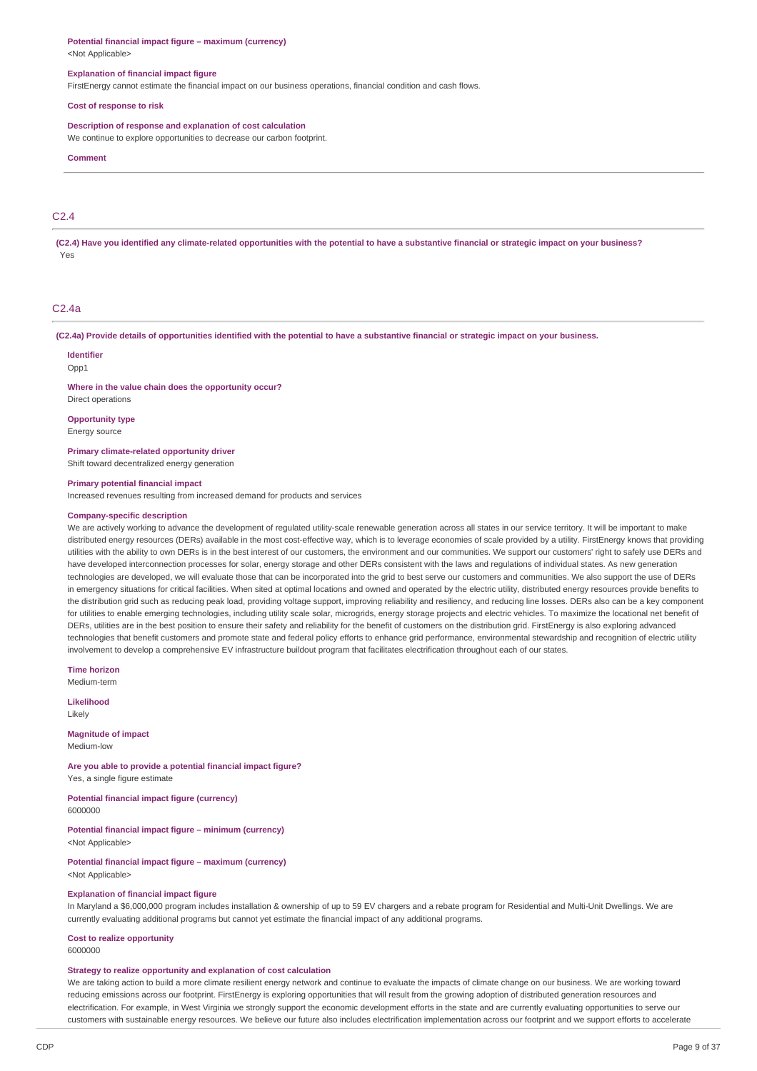#### **Potential financial impact figure – maximum (currency)** <Not Applicable>

### **Explanation of financial impact figure**

FirstEnergy cannot estimate the financial impact on our business operations, financial condition and cash flows.

#### **Cost of response to risk**

### **Description of response and explanation of cost calculation**

We continue to explore opportunities to decrease our carbon footprint.

#### **Comment**

### $C<sub>2</sub>$  4

(C2.4) Have you identified any climate-related opportunities with the potential to have a substantive financial or strategic impact on your business? Yes

#### $C<sub>2</sub>$  4a

(C2.4a) Provide details of opportunities identified with the potential to have a substantive financial or strategic impact on your business.

#### **Identifier**

Opp1

**Where in the value chain does the opportunity occur?**

Direct operations **Opportunity type**

Energy source

**Primary climate-related opportunity driver** Shift toward decentralized energy generation

#### **Primary potential financial impact**

Increased revenues resulting from increased demand for products and services

#### **Company-specific description**

We are actively working to advance the development of regulated utility-scale renewable generation across all states in our service territory. It will be important to make distributed energy resources (DERs) available in the most cost-effective way, which is to leverage economies of scale provided by a utility. FirstEnergy knows that providing utilities with the ability to own DERs is in the best interest of our customers, the environment and our communities. We support our customers' right to safely use DERs and have developed interconnection processes for solar, energy storage and other DERs consistent with the laws and regulations of individual states. As new generation technologies are developed, we will evaluate those that can be incorporated into the grid to best serve our customers and communities. We also support the use of DERs in emergency situations for critical facilities. When sited at optimal locations and owned and operated by the electric utility, distributed energy resources provide benefits to the distribution grid such as reducing peak load, providing voltage support, improving reliability and resiliency, and reducing line losses. DERs also can be a key component for utilities to enable emerging technologies, including utility scale solar, microgrids, energy storage projects and electric vehicles. To maximize the locational net benefit of DERs, utilities are in the best position to ensure their safety and reliability for the benefit of customers on the distribution grid. FirstEnergy is also exploring advanced technologies that benefit customers and promote state and federal policy efforts to enhance grid performance, environmental stewardship and recognition of electric utility involvement to develop a comprehensive EV infrastructure buildout program that facilitates electrification throughout each of our states.

**Time horizon** Medium-term

**Likelihood** Likely

**Magnitude of impact** Medium-low

**Are you able to provide a potential financial impact figure?** Yes, a single figure estimate

**Potential financial impact figure (currency)** 6000000

**Potential financial impact figure – minimum (currency)** <Not Applicable>

**Potential financial impact figure – maximum (currency)** <Not Applicable>

#### **Explanation of financial impact figure**

In Maryland a \$6,000,000 program includes installation & ownership of up to 59 EV chargers and a rebate program for Residential and Multi-Unit Dwellings. We are currently evaluating additional programs but cannot yet estimate the financial impact of any additional programs.

**Cost to realize opportunity**

## 6000000

## **Strategy to realize opportunity and explanation of cost calculation**

We are taking action to build a more climate resilient energy network and continue to evaluate the impacts of climate change on our business. We are working toward reducing emissions across our footprint. FirstEnergy is exploring opportunities that will result from the growing adoption of distributed generation resources and electrification. For example, in West Virginia we strongly support the economic development efforts in the state and are currently evaluating opportunities to serve our customers with sustainable energy resources. We believe our future also includes electrification implementation across our footprint and we support efforts to accelerate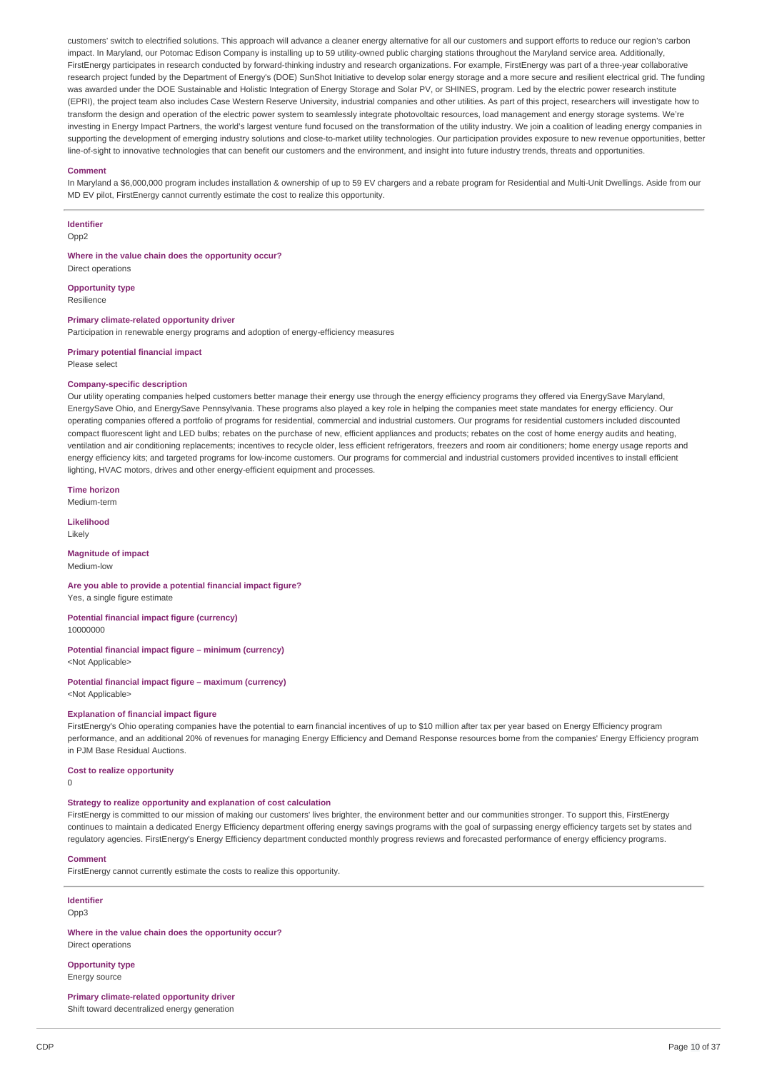customers' switch to electrified solutions. This approach will advance a cleaner energy alternative for all our customers and support efforts to reduce our region's carbon impact. In Maryland, our Potomac Edison Company is installing up to 59 utility-owned public charging stations throughout the Maryland service area. Additionally, FirstEnergy participates in research conducted by forward-thinking industry and research organizations. For example, FirstEnergy was part of a three-year collaborative research project funded by the Department of Energy's (DOE) SunShot Initiative to develop solar energy storage and a more secure and resilient electrical grid. The funding was awarded under the DOE Sustainable and Holistic Integration of Energy Storage and Solar PV, or SHINES, program. Led by the electric power research institute (EPRI), the project team also includes Case Western Reserve University, industrial companies and other utilities. As part of this project, researchers will investigate how to transform the design and operation of the electric power system to seamlessly integrate photovoltaic resources, load management and energy storage systems. We're investing in Energy Impact Partners, the world's largest venture fund focused on the transformation of the utility industry. We join a coalition of leading energy companies in supporting the development of emerging industry solutions and close-to-market utility technologies. Our participation provides exposure to new revenue opportunities, better line-of-sight to innovative technologies that can benefit our customers and the environment, and insight into future industry trends, threats and opportunities.

#### **Comment**

In Maryland a \$6,000,000 program includes installation & ownership of up to 59 EV chargers and a rebate program for Residential and Multi-Unit Dwellings. Aside from our MD EV pilot, FirstEnergy cannot currently estimate the cost to realize this opportunity.

### **Identifier**

Opp<sub>2</sub>

**Where in the value chain does the opportunity occur?**

**Opportunity type** Resilience

Direct operations

### **Primary climate-related opportunity driver**

Participation in renewable energy programs and adoption of energy-efficiency measures

#### **Primary potential financial impact** Please select

### **Company-specific description**

Our utility operating companies helped customers better manage their energy use through the energy efficiency programs they offered via EnergySave Maryland, EnergySave Ohio, and EnergySave Pennsylvania. These programs also played a key role in helping the companies meet state mandates for energy efficiency. Our operating companies offered a portfolio of programs for residential, commercial and industrial customers. Our programs for residential customers included discounted compact fluorescent light and LED bulbs; rebates on the purchase of new, efficient appliances and products; rebates on the cost of home energy audits and heating, ventilation and air conditioning replacements; incentives to recycle older, less efficient refrigerators, freezers and room air conditioners; home energy usage reports and energy efficiency kits; and targeted programs for low-income customers. Our programs for commercial and industrial customers provided incentives to install efficient lighting, HVAC motors, drives and other energy-efficient equipment and processes.

**Time horizon** Medium-term

**Likelihood**

Likely

**Magnitude of impact** Medium-low

**Are you able to provide a potential financial impact figure?** Yes, a single figure estimate

**Potential financial impact figure (currency)** 10000000

**Potential financial impact figure – minimum (currency)** <Not Applicable>

**Potential financial impact figure – maximum (currency)** <Not Applicable>

#### **Explanation of financial impact figure**

FirstEnergy's Ohio operating companies have the potential to earn financial incentives of up to \$10 million after tax per year based on Energy Efficiency program performance, and an additional 20% of revenues for managing Energy Efficiency and Demand Response resources borne from the companies' Energy Efficiency program in PJM Base Residual Auctions.

### **Cost to realize opportunity**

 $\Omega$ 

#### **Strategy to realize opportunity and explanation of cost calculation**

FirstEnergy is committed to our mission of making our customers' lives brighter, the environment better and our communities stronger. To support this, FirstEnergy continues to maintain a dedicated Energy Efficiency department offering energy savings programs with the goal of surpassing energy efficiency targets set by states and regulatory agencies. FirstEnergy's Energy Efficiency department conducted monthly progress reviews and forecasted performance of energy efficiency programs.

#### **Comment**

FirstEnergy cannot currently estimate the costs to realize this opportunity.

#### **Identifier** Opp3

**Where in the value chain does the opportunity occur?** Direct operations

**Opportunity type** Energy source

### **Primary climate-related opportunity driver**

Shift toward decentralized energy generation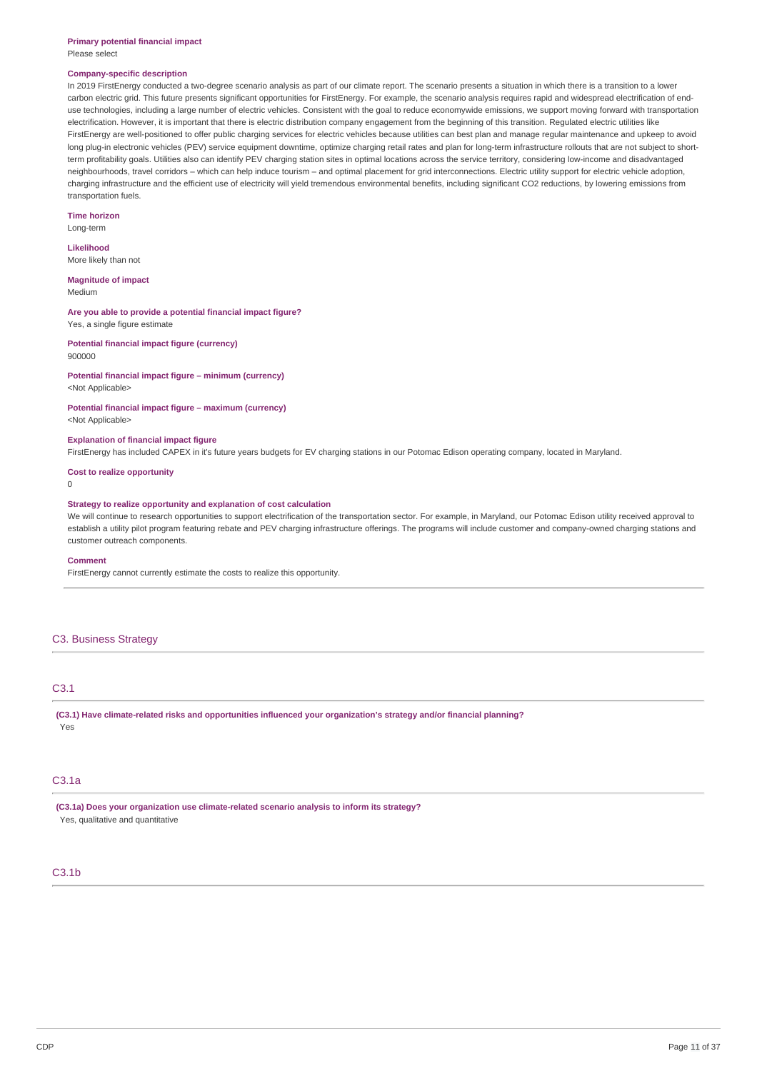#### **Primary potential financial impact** Please select

#### **Company-specific description**

In 2019 FirstEnergy conducted a two-degree scenario analysis as part of our climate report. The scenario presents a situation in which there is a transition to a lower carbon electric grid. This future presents significant opportunities for FirstEnergy. For example, the scenario analysis requires rapid and widespread electrification of enduse technologies, including a large number of electric vehicles. Consistent with the goal to reduce economywide emissions, we support moving forward with transportation electrification. However, it is important that there is electric distribution company engagement from the beginning of this transition. Regulated electric utilities like FirstEnergy are well-positioned to offer public charging services for electric vehicles because utilities can best plan and manage regular maintenance and upkeep to avoid long plug-in electronic vehicles (PEV) service equipment downtime, optimize charging retail rates and plan for long-term infrastructure rollouts that are not subject to shortterm profitability goals. Utilities also can identify PEV charging station sites in optimal locations across the service territory, considering low-income and disadvantaged neighbourhoods, travel corridors – which can help induce tourism – and optimal placement for grid interconnections. Electric utility support for electric vehicle adoption, charging infrastructure and the efficient use of electricity will yield tremendous environmental benefits, including significant CO2 reductions, by lowering emissions from transportation fuels.

### **Time horizon**

Long-term

### **Likelihood**

More likely than not

### **Magnitude of impact**

Medium

### **Are you able to provide a potential financial impact figure?** Yes, a single figure estimate

**Potential financial impact figure (currency)**

### 900000

## **Potential financial impact figure – minimum (currency)**

<Not Applicable>

**Potential financial impact figure – maximum (currency)** <Not Applicable>

### **Explanation of financial impact figure**

FirstEnergy has included CAPEX in it's future years budgets for EV charging stations in our Potomac Edison operating company, located in Maryland.

#### **Cost to realize opportunity**

 $\Omega$ 

#### **Strategy to realize opportunity and explanation of cost calculation**

We will continue to research opportunities to support electrification of the transportation sector. For example, in Maryland, our Potomac Edison utility received approval to establish a utility pilot program featuring rebate and PEV charging infrastructure offerings. The programs will include customer and company-owned charging stations and customer outreach components.

#### **Comment**

FirstEnergy cannot currently estimate the costs to realize this opportunity.

### C3. Business Strategy

### C3.1

**(C3.1) Have climate-related risks and opportunities influenced your organization's strategy and/or financial planning?** Yes

### C3.1a

**(C3.1a) Does your organization use climate-related scenario analysis to inform its strategy?** Yes, qualitative and quantitative

### $C3.1<sub>b</sub>$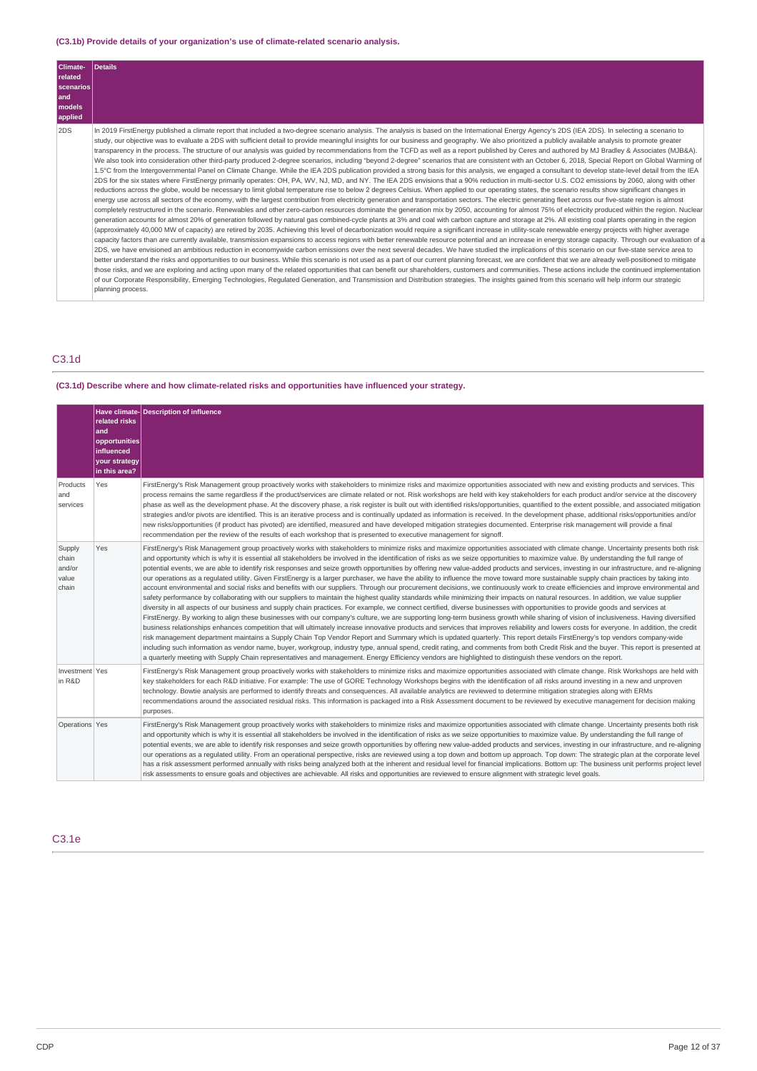### **(C3.1b) Provide details of your organization's use of climate-related scenario analysis.**

| Climate-  | Details                                                                                                                                                                                                                                                                                                                                                                                                                                                                                                                                                                                                                                                                                                                                                                                                                                                                                                                                                                                                                                                                                                                                                                                                                                                                                                                                                                                                                                                                                                                                                                                                                                                                                                                                                                                                                                                                                                                                                                                                                                                                                                                                                                                                                                                                                                                                                                                                                                                                                                                                                                                                                                                                                                                                                                                                                                                                                                                                                                                                                                                                                                                                                                                                                                                                                                                                             |
|-----------|-----------------------------------------------------------------------------------------------------------------------------------------------------------------------------------------------------------------------------------------------------------------------------------------------------------------------------------------------------------------------------------------------------------------------------------------------------------------------------------------------------------------------------------------------------------------------------------------------------------------------------------------------------------------------------------------------------------------------------------------------------------------------------------------------------------------------------------------------------------------------------------------------------------------------------------------------------------------------------------------------------------------------------------------------------------------------------------------------------------------------------------------------------------------------------------------------------------------------------------------------------------------------------------------------------------------------------------------------------------------------------------------------------------------------------------------------------------------------------------------------------------------------------------------------------------------------------------------------------------------------------------------------------------------------------------------------------------------------------------------------------------------------------------------------------------------------------------------------------------------------------------------------------------------------------------------------------------------------------------------------------------------------------------------------------------------------------------------------------------------------------------------------------------------------------------------------------------------------------------------------------------------------------------------------------------------------------------------------------------------------------------------------------------------------------------------------------------------------------------------------------------------------------------------------------------------------------------------------------------------------------------------------------------------------------------------------------------------------------------------------------------------------------------------------------------------------------------------------------------------------------------------------------------------------------------------------------------------------------------------------------------------------------------------------------------------------------------------------------------------------------------------------------------------------------------------------------------------------------------------------------------------------------------------------------------------------------------------------------|
| related   |                                                                                                                                                                                                                                                                                                                                                                                                                                                                                                                                                                                                                                                                                                                                                                                                                                                                                                                                                                                                                                                                                                                                                                                                                                                                                                                                                                                                                                                                                                                                                                                                                                                                                                                                                                                                                                                                                                                                                                                                                                                                                                                                                                                                                                                                                                                                                                                                                                                                                                                                                                                                                                                                                                                                                                                                                                                                                                                                                                                                                                                                                                                                                                                                                                                                                                                                                     |
| scenarios |                                                                                                                                                                                                                                                                                                                                                                                                                                                                                                                                                                                                                                                                                                                                                                                                                                                                                                                                                                                                                                                                                                                                                                                                                                                                                                                                                                                                                                                                                                                                                                                                                                                                                                                                                                                                                                                                                                                                                                                                                                                                                                                                                                                                                                                                                                                                                                                                                                                                                                                                                                                                                                                                                                                                                                                                                                                                                                                                                                                                                                                                                                                                                                                                                                                                                                                                                     |
| and       |                                                                                                                                                                                                                                                                                                                                                                                                                                                                                                                                                                                                                                                                                                                                                                                                                                                                                                                                                                                                                                                                                                                                                                                                                                                                                                                                                                                                                                                                                                                                                                                                                                                                                                                                                                                                                                                                                                                                                                                                                                                                                                                                                                                                                                                                                                                                                                                                                                                                                                                                                                                                                                                                                                                                                                                                                                                                                                                                                                                                                                                                                                                                                                                                                                                                                                                                                     |
| models    |                                                                                                                                                                                                                                                                                                                                                                                                                                                                                                                                                                                                                                                                                                                                                                                                                                                                                                                                                                                                                                                                                                                                                                                                                                                                                                                                                                                                                                                                                                                                                                                                                                                                                                                                                                                                                                                                                                                                                                                                                                                                                                                                                                                                                                                                                                                                                                                                                                                                                                                                                                                                                                                                                                                                                                                                                                                                                                                                                                                                                                                                                                                                                                                                                                                                                                                                                     |
| applied   |                                                                                                                                                                                                                                                                                                                                                                                                                                                                                                                                                                                                                                                                                                                                                                                                                                                                                                                                                                                                                                                                                                                                                                                                                                                                                                                                                                                                                                                                                                                                                                                                                                                                                                                                                                                                                                                                                                                                                                                                                                                                                                                                                                                                                                                                                                                                                                                                                                                                                                                                                                                                                                                                                                                                                                                                                                                                                                                                                                                                                                                                                                                                                                                                                                                                                                                                                     |
| 2DS       | In 2019 FirstEnergy published a climate report that included a two-degree scenario analysis. The analysis is based on the International Energy Agency's 2DS (IEA 2DS). In selecting a scenario to<br>study, our objective was to evaluate a 2DS with sufficient detail to provide meaningful insights for our business and geography. We also prioritized a publicly available analysis to promote greater<br>transparency in the process. The structure of our analysis was quided by recommendations from the TCFD as well as a report published by Ceres and authored by MJ Bradley & Associates (MJB&A).<br>We also took into consideration other third-party produced 2-degree scenarios, including "beyond 2-degree" scenarios that are consistent with an October 6, 2018, Special Report on Global Warming of<br>1.5℃ from the Intergovernmental Panel on Climate Change. While the IEA 2DS publication provided a strong basis for this analysis, we engaged a consultant to develop state-level detail from the IEA<br>2DS for the six states where FirstEnergy primarily operates: OH, PA, WV, NJ, MD, and NY. The IEA 2DS envisions that a 90% reduction in multi-sector U.S. CO2 emissions by 2060, along with other<br>reductions across the globe, would be necessary to limit global temperature rise to below 2 degrees Celsius. When applied to our operating states, the scenario results show significant changes in<br>energy use across all sectors of the economy, with the largest contribution from electricity generation and transportation sectors. The electric generating fleet across our five-state region is almost<br>completely restructured in the scenario. Renewables and other zero-carbon resources dominate the generation mix by 2050, accounting for almost 75% of electricity produced within the region. Nuclear<br>generation accounts for almost 20% of generation followed by natural gas combined-cycle plants at 3% and coal with carbon capture and storage at 2%. All existing coal plants operating in the region<br>(approximately 40,000 MW of capacity) are retired by 2035. Achieving this level of decarbonization would require a significant increase in utility-scale renewable energy projects with higher average<br>capacity factors than are currently available, transmission expansions to access regions with better renewable resource potential and an increase in energy storage capacity. Through our evaluation of a<br>2DS, we have envisioned an ambitious reduction in economywide carbon emissions over the next several decades. We have studied the implications of this scenario on our five-state service area to<br>better understand the risks and opportunities to our business. While this scenario is not used as a part of our current planning forecast, we are confident that we are already well-positioned to mitigate<br>those risks, and we are exploring and acting upon many of the related opportunities that can benefit our shareholders, customers and communities. These actions include the continued implementation<br>of our Corporate Responsibility, Emerging Technologies, Regulated Generation, and Transmission and Distribution strategies. The insights gained from this scenario will help inform our strategic<br>planning process. |

## C3.1d

### **(C3.1d) Describe where and how climate-related risks and opportunities have influenced your strategy.**

|                                             | related risks<br>and<br>opportunities<br>influenced<br>your strategy<br>in this area? | Have climate-Description of influence                                                                                                                                                                                                                                                                                                                                                                                                                                                                                                                                                                                                                                                                                                                                                                                                                                                                                                                                                                                                                                                                                                                                                                                                                                                                                                                                                                                                                                                                                                                                                                                                                                                                                                                                                                                                                                                                                                                                                                                                                                                                                                                                                                                                                                     |
|---------------------------------------------|---------------------------------------------------------------------------------------|---------------------------------------------------------------------------------------------------------------------------------------------------------------------------------------------------------------------------------------------------------------------------------------------------------------------------------------------------------------------------------------------------------------------------------------------------------------------------------------------------------------------------------------------------------------------------------------------------------------------------------------------------------------------------------------------------------------------------------------------------------------------------------------------------------------------------------------------------------------------------------------------------------------------------------------------------------------------------------------------------------------------------------------------------------------------------------------------------------------------------------------------------------------------------------------------------------------------------------------------------------------------------------------------------------------------------------------------------------------------------------------------------------------------------------------------------------------------------------------------------------------------------------------------------------------------------------------------------------------------------------------------------------------------------------------------------------------------------------------------------------------------------------------------------------------------------------------------------------------------------------------------------------------------------------------------------------------------------------------------------------------------------------------------------------------------------------------------------------------------------------------------------------------------------------------------------------------------------------------------------------------------------|
| Products<br>and<br>services                 | Yes                                                                                   | FirstEnergy's Risk Management group proactively works with stakeholders to minimize risks and maximize opportunities associated with new and existing products and services. This<br>process remains the same regardless if the product/services are climate related or not. Risk workshops are held with key stakeholders for each product and/or service at the discovery<br>phase as well as the development phase. At the discovery phase, a risk register is built out with identified risks/opportunities, quantified to the extent possible, and associated mitigation<br>strategies and/or pivots are identified. This is an iterative process and is continually updated as information is received. In the development phase, additional risks/opportunities and/or<br>new risks/opportunities (if product has pivoted) are identified, measured and have developed mitigation strategies documented. Enterprise risk management will provide a final<br>recommendation per the review of the results of each workshop that is presented to executive management for signoff.                                                                                                                                                                                                                                                                                                                                                                                                                                                                                                                                                                                                                                                                                                                                                                                                                                                                                                                                                                                                                                                                                                                                                                                   |
| Supply<br>chain<br>and/or<br>value<br>chain | Yes                                                                                   | FirstEnergy's Risk Management group proactively works with stakeholders to minimize risks and maximize opportunities associated with climate change. Uncertainty presents both risk<br>and opportunity which is why it is essential all stakeholders be involved in the identification of risks as we seize opportunities to maximize value. By understanding the full range of<br>potential events, we are able to identify risk responses and seize growth opportunities by offering new value-added products and services, investing in our infrastructure, and re-aligning<br>our operations as a regulated utility. Given FirstEnergy is a larger purchaser, we have the ability to influence the move toward more sustainable supply chain practices by taking into<br>account environmental and social risks and benefits with our suppliers. Through our procurement decisions, we continuously work to create efficiencies and improve environmental and<br>safety performance by collaborating with our suppliers to maintain the highest quality standards while minimizing their impacts on natural resources. In addition, we value supplier<br>diversity in all aspects of our business and supply chain practices. For example, we connect certified, diverse businesses with opportunities to provide goods and services at<br>FirstEnergy. By working to align these businesses with our company's culture, we are supporting long-term business growth while sharing of vision of inclusiveness. Having diversified<br>business relationships enhances competition that will ultimately increase innovative products and services that improves reliability and lowers costs for everyone. In addition, the credit<br>risk management department maintains a Supply Chain Top Vendor Report and Summary which is updated quarterly. This report details FirstEnergy's top vendors company-wide<br>including such information as vendor name, buyer, workgroup, industry type, annual spend, credit rating, and comments from both Credit Risk and the buyer. This report is presented at<br>a quarterly meeting with Supply Chain representatives and management. Energy Efficiency vendors are highlighted to distinguish these vendors on the report. |
| Investment Yes<br>in R&D                    |                                                                                       | FirstEnergy's Risk Management group proactively works with stakeholders to minimize risks and maximize opportunities associated with climate change. Risk Workshops are held with<br>key stakeholders for each R&D initiative. For example: The use of GORE Technology Workshops begins with the identification of all risks around investing in a new and unproven<br>technology. Bowtie analysis are performed to identify threats and consequences. All available analytics are reviewed to determine mitigation strategies along with ERMs<br>recommendations around the associated residual risks. This information is packaged into a Risk Assessment document to be reviewed by executive management for decision making<br>purposes.                                                                                                                                                                                                                                                                                                                                                                                                                                                                                                                                                                                                                                                                                                                                                                                                                                                                                                                                                                                                                                                                                                                                                                                                                                                                                                                                                                                                                                                                                                                              |
| Operations Yes                              |                                                                                       | FirstEnergy's Risk Management group proactively works with stakeholders to minimize risks and maximize opportunities associated with climate change. Uncertainty presents both risk<br>and opportunity which is why it is essential all stakeholders be involved in the identification of risks as we seize opportunities to maximize value. By understanding the full range of<br>potential events, we are able to identify risk responses and seize growth opportunities by offering new value-added products and services, investing in our infrastructure, and re-aligning<br>our operations as a regulated utility. From an operational perspective, risks are reviewed using a top down and bottom up approach. Top down: The strategic plan at the corporate level<br>has a risk assessment performed annually with risks being analyzed both at the inherent and residual level for financial implications. Bottom up: The business unit performs project level<br>risk assessments to ensure goals and objectives are achievable. All risks and opportunities are reviewed to ensure alignment with strategic level goals.                                                                                                                                                                                                                                                                                                                                                                                                                                                                                                                                                                                                                                                                                                                                                                                                                                                                                                                                                                                                                                                                                                                                       |

C3.1e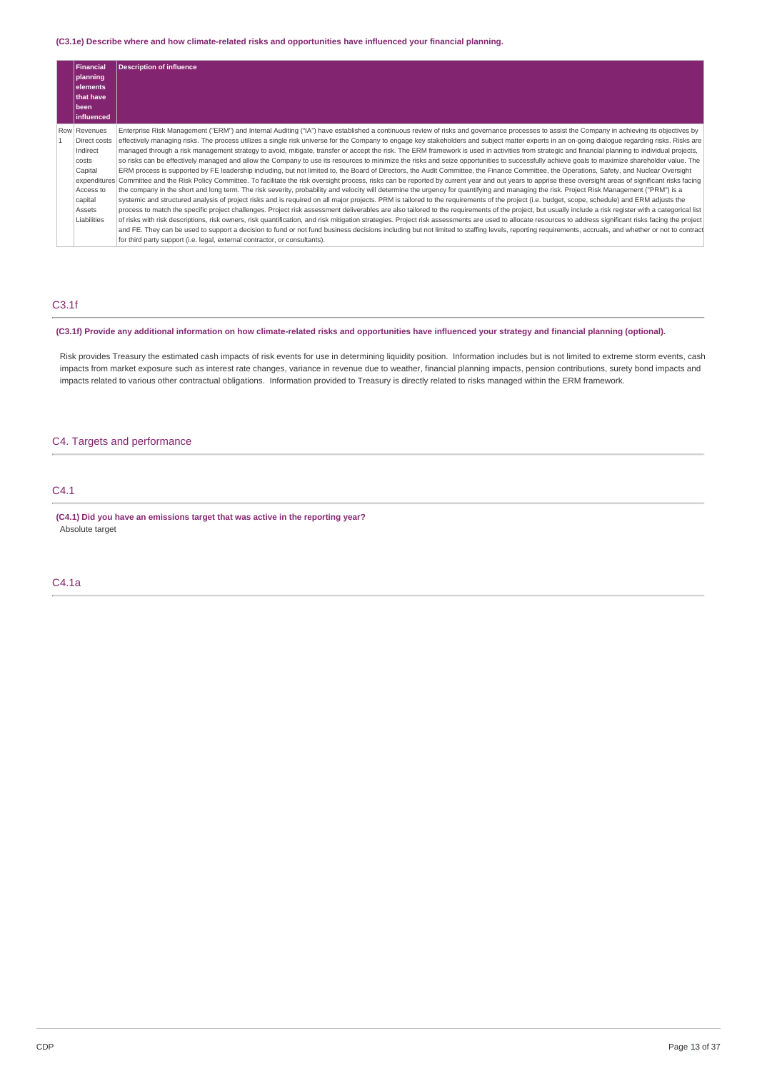### **(C3.1e) Describe where and how climate-related risks and opportunities have influenced your financial planning.**

| <b>Financial</b>             | <b>Description of influence</b>                                                                                                                                                                                  |
|------------------------------|------------------------------------------------------------------------------------------------------------------------------------------------------------------------------------------------------------------|
| planning                     |                                                                                                                                                                                                                  |
| elements<br><b>that have</b> |                                                                                                                                                                                                                  |
| been                         |                                                                                                                                                                                                                  |
| influenced                   |                                                                                                                                                                                                                  |
| Row Revenues                 | Enterprise Risk Management ("ERM") and Internal Auditing ("IA") have established a continuous review of risks and governance processes to assist the Company in achieving its objectives by                      |
| Direct costs                 | effectively managing risks. The process utilizes a single risk universe for the Company to engage key stakeholders and subject matter experts in an on-going dialogue regarding risks. Risks are                 |
| Indirect                     | managed through a risk management strategy to avoid, mitigate, transfer or accept the risk. The ERM framework is used in activities from strategic and financial planning to individual projects,                |
| costs                        | so risks can be effectively managed and allow the Company to use its resources to minimize the risks and seize opportunities to successfully achieve goals to maximize shareholder value. The                    |
| Capital                      | ERM process is supported by FE leadership including, but not limited to, the Board of Directors, the Audit Committee, the Finance Committee, the Operations, Safety, and Nuclear Oversight                       |
|                              | expenditures Committee and the Risk Policy Committee. To facilitate the risk oversight process, risks can be reported by current year and out years to apprise these oversight areas of significant risks facing |
| Access to                    | the company in the short and long term. The risk severity, probability and velocity will determine the urgency for quantifying and managing the risk. Project Risk Management ("PRM") is a                       |
| capital                      | systemic and structured analysis of project risks and is required on all major projects. PRM is tailored to the requirements of the project (i.e. budget, scope, schedule) and ERM adjusts the                   |
| Assets                       | process to match the specific project challenges. Project risk assessment deliverables are also tailored to the requirements of the project, but usually include a risk register with a categorical list         |
| Liabilities                  | of risks with risk descriptions, risk owners, risk quantification, and risk mitigation strategies. Project risk assessments are used to allocate resources to address significant risks facing the project       |
|                              | and FE. They can be used to support a decision to fund or not fund business decisions including but not limited to staffing levels, reporting requirements, accruals, and whether or not to contract             |
|                              | for third party support (i.e. legal, external contractor, or consultants).                                                                                                                                       |

## C3.1f

### (C3.1f) Provide any additional information on how climate-related risks and opportunities have influenced your strategy and financial planning (optional).

Risk provides Treasury the estimated cash impacts of risk events for use in determining liquidity position. Information includes but is not limited to extreme storm events, cash impacts from market exposure such as interest rate changes, variance in revenue due to weather, financial planning impacts, pension contributions, surety bond impacts and impacts related to various other contractual obligations. Information provided to Treasury is directly related to risks managed within the ERM framework.

### C4. Targets and performance

### C4.1

**(C4.1) Did you have an emissions target that was active in the reporting year?** Absolute target

C4.1a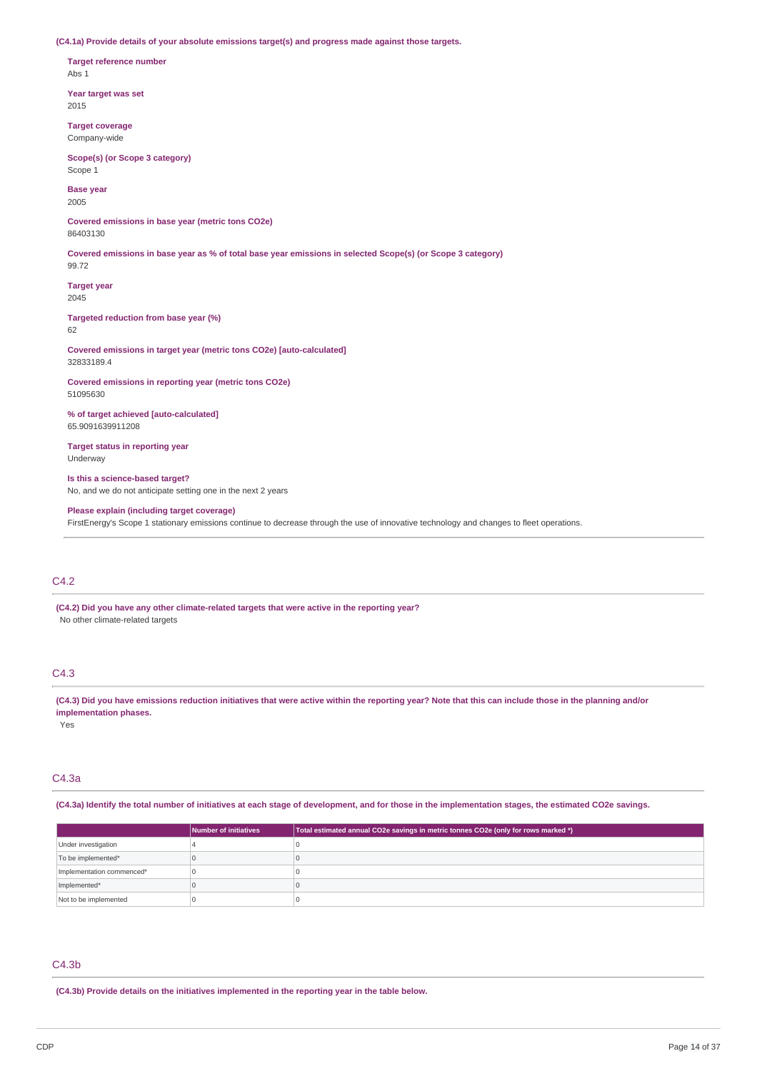**(C4.1a) Provide details of your absolute emissions target(s) and progress made against those targets.**

**Target reference number** Abs 1

**Year target was set** 2015

**Target coverage** Company-wide

**Scope(s) (or Scope 3 category)** Scope 1

**Base year** 2005

**Covered emissions in base year (metric tons CO2e)** 86403130

Covered emissions in base year as % of total base year emissions in selected Scope(s) (or Scope 3 category)

99.72 **Target year**

2045

**Targeted reduction from base year (%)** 62

**Covered emissions in target year (metric tons CO2e) [auto-calculated]** 32833189.4

**Covered emissions in reporting year (metric tons CO2e)** 51095630

**% of target achieved [auto-calculated]** 65.9091639911208

**Target status in reporting year** Underway

**Is this a science-based target?** No, and we do not anticipate setting one in the next 2 years

**Please explain (including target coverage)** FirstEnergy's Scope 1 stationary emissions continue to decrease through the use of innovative technology and changes to fleet operations.

### C4.2

**(C4.2) Did you have any other climate-related targets that were active in the reporting year?** No other climate-related targets

### C4.3

(C4.3) Did you have emissions reduction initiatives that were active within the reporting year? Note that this can include those in the planning and/or **implementation phases.**

Yes

### C4.3a

(C4.3a) Identify the total number of initiatives at each stage of development, and for those in the implementation stages, the estimated CO2e savings.

|                           | Number of initiatives | Total estimated annual CO2e savings in metric tonnes CO2e (only for rows marked *) |
|---------------------------|-----------------------|------------------------------------------------------------------------------------|
| Under investigation       |                       |                                                                                    |
| To be implemented*        |                       |                                                                                    |
| Implementation commenced* |                       |                                                                                    |
| Implemented*              |                       |                                                                                    |
| Not to be implemented     |                       |                                                                                    |

### C4.3b

**(C4.3b) Provide details on the initiatives implemented in the reporting year in the table below.**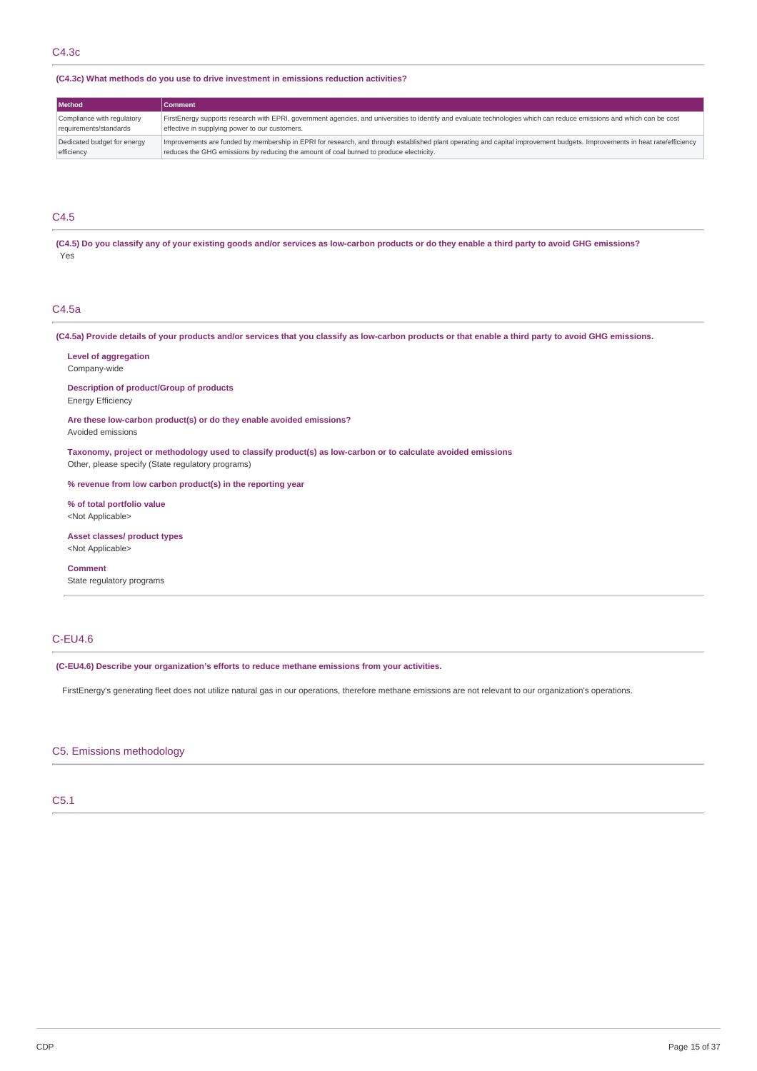### **(C4.3c) What methods do you use to drive investment in emissions reduction activities?**

| <b>Method</b>               | Comment                                                                                                                                                                   |
|-----------------------------|---------------------------------------------------------------------------------------------------------------------------------------------------------------------------|
| Compliance with regulatory  | FirstEnergy supports research with EPRI, government agencies, and universities to identify and evaluate technologies which can reduce emissions and which can be cost     |
| requirements/standards      | effective in supplying power to our customers.                                                                                                                            |
| Dedicated budget for energy | Improvements are funded by membership in EPRI for research, and through established plant operating and capital improvement budgets. Improvements in heat rate/efficiency |
| efficiency                  | reduces the GHG emissions by reducing the amount of coal burned to produce electricity.                                                                                   |

### C4.5

(C4.5) Do you classify any of your existing goods and/or services as low-carbon products or do they enable a third party to avoid GHG emissions? Yes

### C4.5a

(C4.5a) Provide details of your products and/or services that you classify as low-carbon products or that enable a third party to avoid GHG emissions.

**Level of aggregation** Company-wide

**Description of product/Group of products** Energy Efficiency

**Are these low-carbon product(s) or do they enable avoided emissions?** Avoided emissions

**Taxonomy, project or methodology used to classify product(s) as low-carbon or to calculate avoided emissions** Other, please specify (State regulatory programs)

**% revenue from low carbon product(s) in the reporting year**

**% of total portfolio value** <Not Applicable>

**Asset classes/ product types** <Not Applicable>

**Comment**

State regulatory programs

### C-EU4.6

**(C-EU4.6) Describe your organization's efforts to reduce methane emissions from your activities.**

FirstEnergy's generating fleet does not utilize natural gas in our operations, therefore methane emissions are not relevant to our organization's operations.

### C5. Emissions methodology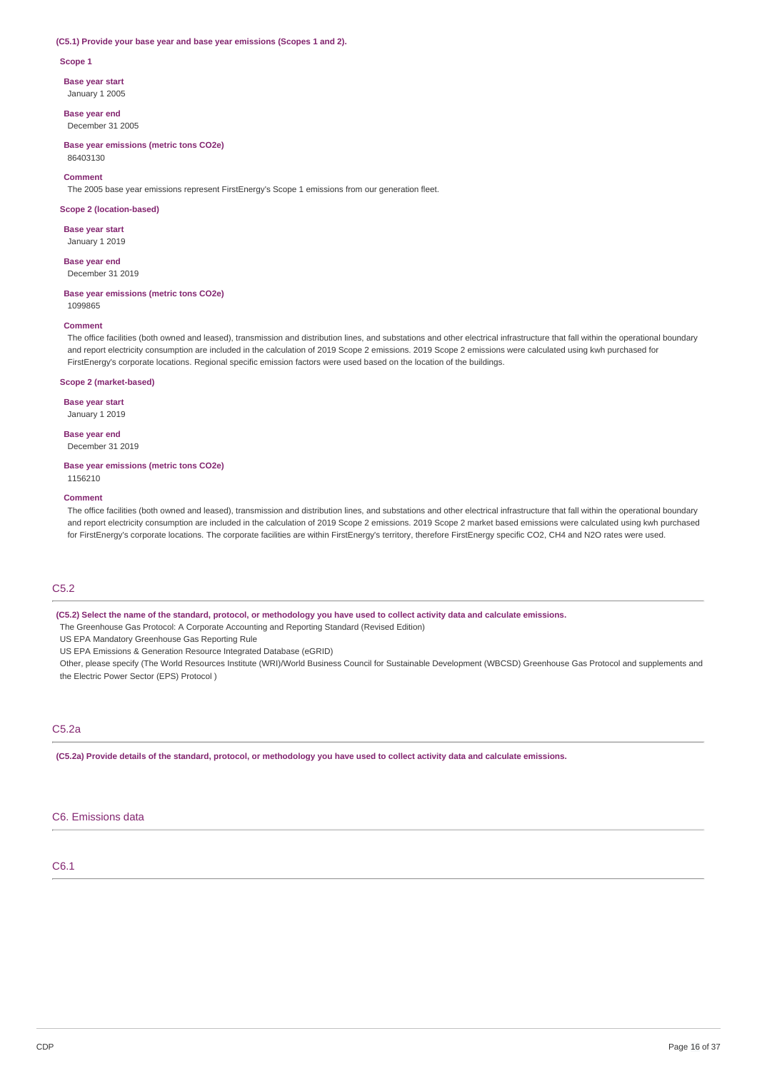#### **(C5.1) Provide your base year and base year emissions (Scopes 1 and 2).**

#### **Scope 1**

**Base year start**

January 1 2005

**Base year end** December 31 2005

**Base year emissions (metric tons CO2e)** 86403130

#### **Comment**

The 2005 base year emissions represent FirstEnergy's Scope 1 emissions from our generation fleet.

#### **Scope 2 (location-based)**

**Base year start** January 1 2019

**Base year end**

December 31 2019

### **Base year emissions (metric tons CO2e)**

1099865

### **Comment**

The office facilities (both owned and leased), transmission and distribution lines, and substations and other electrical infrastructure that fall within the operational boundary and report electricity consumption are included in the calculation of 2019 Scope 2 emissions. 2019 Scope 2 emissions were calculated using kwh purchased for FirstEnergy's corporate locations. Regional specific emission factors were used based on the location of the buildings.

#### **Scope 2 (market-based)**

**Base year start** January 1 2019

**Base year end**

December 31 2019

### **Base year emissions (metric tons CO2e)**

1156210

#### **Comment**

The office facilities (both owned and leased), transmission and distribution lines, and substations and other electrical infrastructure that fall within the operational boundary and report electricity consumption are included in the calculation of 2019 Scope 2 emissions. 2019 Scope 2 market based emissions were calculated using kwh purchased for FirstEnergy's corporate locations. The corporate facilities are within FirstEnergy's territory, therefore FirstEnergy specific CO2, CH4 and N2O rates were used.

### C5.2

(C5.2) Select the name of the standard, protocol, or methodology you have used to collect activity data and calculate emissions.

The Greenhouse Gas Protocol: A Corporate Accounting and Reporting Standard (Revised Edition)

US EPA Mandatory Greenhouse Gas Reporting Rule

US EPA Emissions & Generation Resource Integrated Database (eGRID)

Other, please specify (The World Resources Institute (WRI)/World Business Council for Sustainable Development (WBCSD) Greenhouse Gas Protocol and supplements and the Electric Power Sector (EPS) Protocol )

## C5.2a

(C5.2a) Provide details of the standard, protocol, or methodology you have used to collect activity data and calculate emissions.

### C6. Emissions data

### C6.1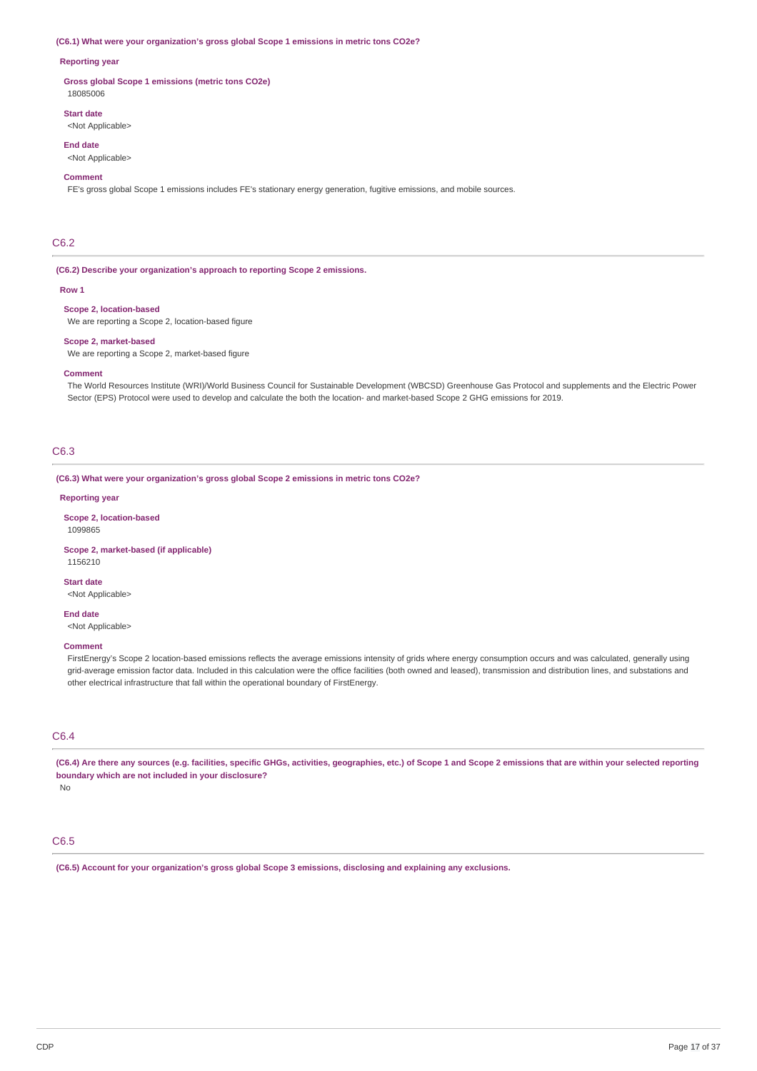#### **(C6.1) What were your organization's gross global Scope 1 emissions in metric tons CO2e?**

### **Reporting year**

**Gross global Scope 1 emissions (metric tons CO2e)** 18085006

### **Start date**

<Not Applicable>

### **End date**

<Not Applicable>

#### **Comment**

FE's gross global Scope 1 emissions includes FE's stationary energy generation, fugitive emissions, and mobile sources.

### C6.2

### **(C6.2) Describe your organization's approach to reporting Scope 2 emissions.**

#### **Row 1**

### **Scope 2, location-based**

We are reporting a Scope 2, location-based figure

#### **Scope 2, market-based**

We are reporting a Scope 2, market-based figure

#### **Comment**

The World Resources Institute (WRI)/World Business Council for Sustainable Development (WBCSD) Greenhouse Gas Protocol and supplements and the Electric Power Sector (EPS) Protocol were used to develop and calculate the both the location- and market-based Scope 2 GHG emissions for 2019.

### C6.3

**(C6.3) What were your organization's gross global Scope 2 emissions in metric tons CO2e?**

### **Reporting year**

**Scope 2, location-based** 1099865

#### **Scope 2, market-based (if applicable)** 1156210

**Start date** <Not Applicable>

#### **End date**

<Not Applicable>

#### **Comment**

FirstEnergy's Scope 2 location-based emissions reflects the average emissions intensity of grids where energy consumption occurs and was calculated, generally using grid-average emission factor data. Included in this calculation were the office facilities (both owned and leased), transmission and distribution lines, and substations and other electrical infrastructure that fall within the operational boundary of FirstEnergy.

### C6.4

(C6.4) Are there any sources (e.g. facilities, specific GHGs, activities, geographies, etc.) of Scope 1 and Scope 2 emissions that are within your selected reporting **boundary which are not included in your disclosure?**

No

### C6.5

**(C6.5) Account for your organization's gross global Scope 3 emissions, disclosing and explaining any exclusions.**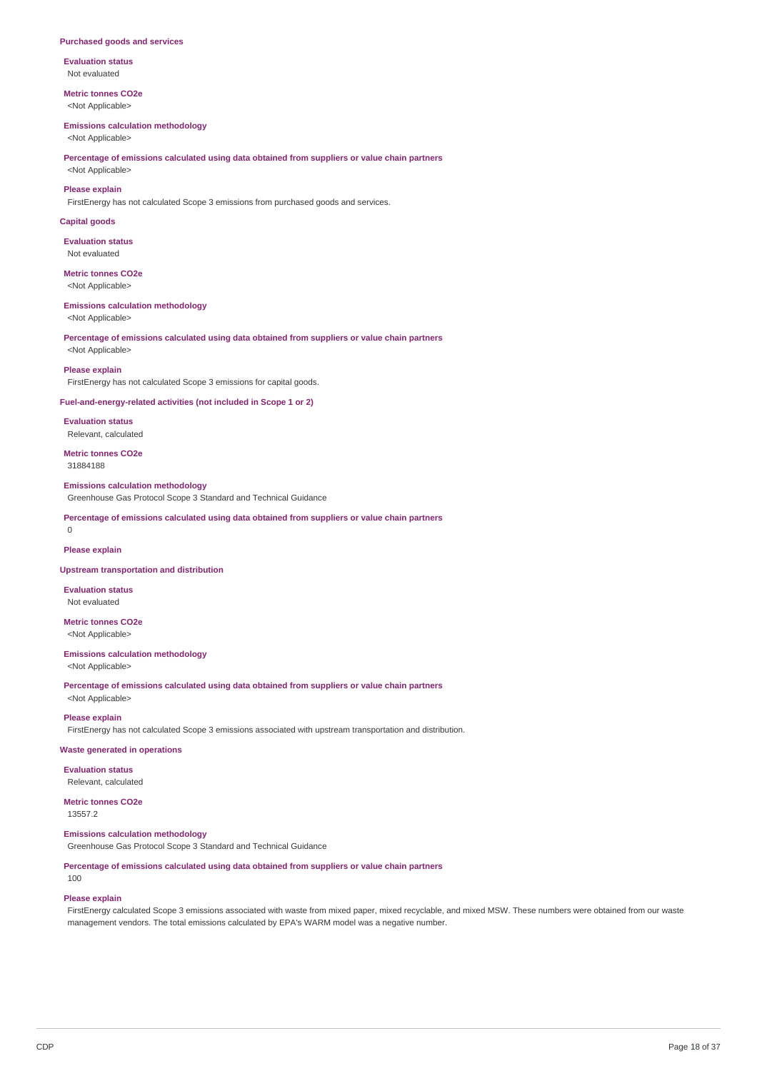#### **Purchased goods and services**

**Evaluation status** Not evaluated

**Metric tonnes CO2e** <Not Applicable>

#### **Emissions calculation methodology**

<Not Applicable>

### **Percentage of emissions calculated using data obtained from suppliers or value chain partners** <Not Applicable>

### **Please explain**

FirstEnergy has not calculated Scope 3 emissions from purchased goods and services.

#### **Capital goods**

**Evaluation status** Not evaluated

## **Metric tonnes CO2e**

<Not Applicable>

#### **Emissions calculation methodology**

<Not Applicable>

#### **Percentage of emissions calculated using data obtained from suppliers or value chain partners** <Not Applicable>

**Please explain**

FirstEnergy has not calculated Scope 3 emissions for capital goods.

### **Fuel-and-energy-related activities (not included in Scope 1 or 2)**

**Evaluation status** Relevant, calculated

**Metric tonnes CO2e** 31884188

#### **Emissions calculation methodology**

Greenhouse Gas Protocol Scope 3 Standard and Technical Guidance

**Percentage of emissions calculated using data obtained from suppliers or value chain partners**

#### $\Omega$

**Please explain**

#### **Upstream transportation and distribution**

**Evaluation status** Not evaluated

**Metric tonnes CO2e** <Not Applicable>

### **Emissions calculation methodology**

<Not Applicable>

**Percentage of emissions calculated using data obtained from suppliers or value chain partners** <Not Applicable>

### **Please explain**

FirstEnergy has not calculated Scope 3 emissions associated with upstream transportation and distribution.

#### **Waste generated in operations**

**Evaluation status** Relevant, calculated

**Metric tonnes CO2e** 13557.2

# **Emissions calculation methodology**

Greenhouse Gas Protocol Scope 3 Standard and Technical Guidance

**Percentage of emissions calculated using data obtained from suppliers or value chain partners**

100

### **Please explain**

FirstEnergy calculated Scope 3 emissions associated with waste from mixed paper, mixed recyclable, and mixed MSW. These numbers were obtained from our waste management vendors. The total emissions calculated by EPA's WARM model was a negative number.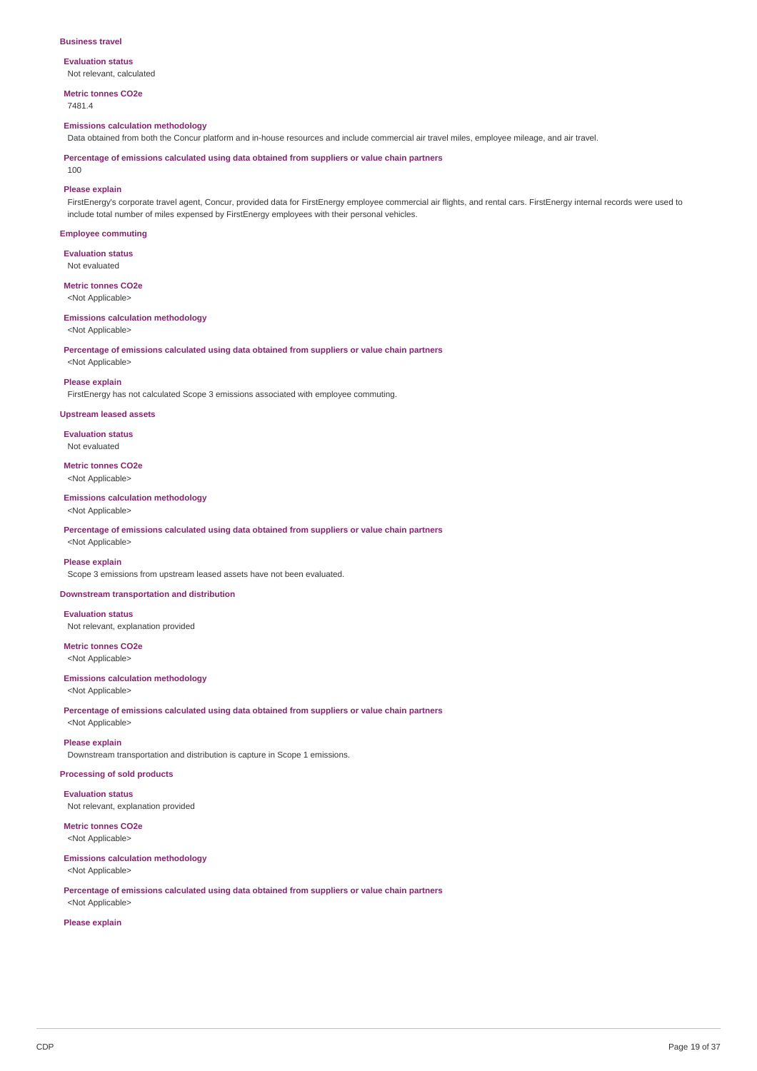#### **Business travel**

**Evaluation status** Not relevant, calculated

**Metric tonnes CO2e**

7481.4

### **Emissions calculation methodology**

Data obtained from both the Concur platform and in-house resources and include commercial air travel miles, employee mileage, and air travel.

**Percentage of emissions calculated using data obtained from suppliers or value chain partners**

#### $100$

### **Please explain**

FirstEnergy's corporate travel agent, Concur, provided data for FirstEnergy employee commercial air flights, and rental cars. FirstEnergy internal records were used to include total number of miles expensed by FirstEnergy employees with their personal vehicles.

#### **Employee commuting**

**Evaluation status**

Not evaluated

**Metric tonnes CO2e** <Not Applicable>

#### **Emissions calculation methodology** <Not Applicable>

**Percentage of emissions calculated using data obtained from suppliers or value chain partners** <Not Applicable>

#### **Please explain**

FirstEnergy has not calculated Scope 3 emissions associated with employee commuting.

### **Upstream leased assets**

**Evaluation status** Not evaluated

**Metric tonnes CO2e** <Not Applicable>

#### **Emissions calculation methodology** <Not Applicable>

**Percentage of emissions calculated using data obtained from suppliers or value chain partners** <Not Applicable>

#### **Please explain**

Scope 3 emissions from upstream leased assets have not been evaluated.

### **Downstream transportation and distribution**

**Evaluation status** Not relevant, explanation provided

#### **Metric tonnes CO2e** <Not Applicable>

**Emissions calculation methodology**

<Not Applicable>

**Percentage of emissions calculated using data obtained from suppliers or value chain partners** <Not Applicable>

#### **Please explain**

Downstream transportation and distribution is capture in Scope 1 emissions.

### **Processing of sold products**

**Evaluation status** Not relevant, explanation provided

**Metric tonnes CO2e** <Not Applicable>

#### **Emissions calculation methodology**

<Not Applicable>

**Percentage of emissions calculated using data obtained from suppliers or value chain partners** <Not Applicable>

### **Please explain**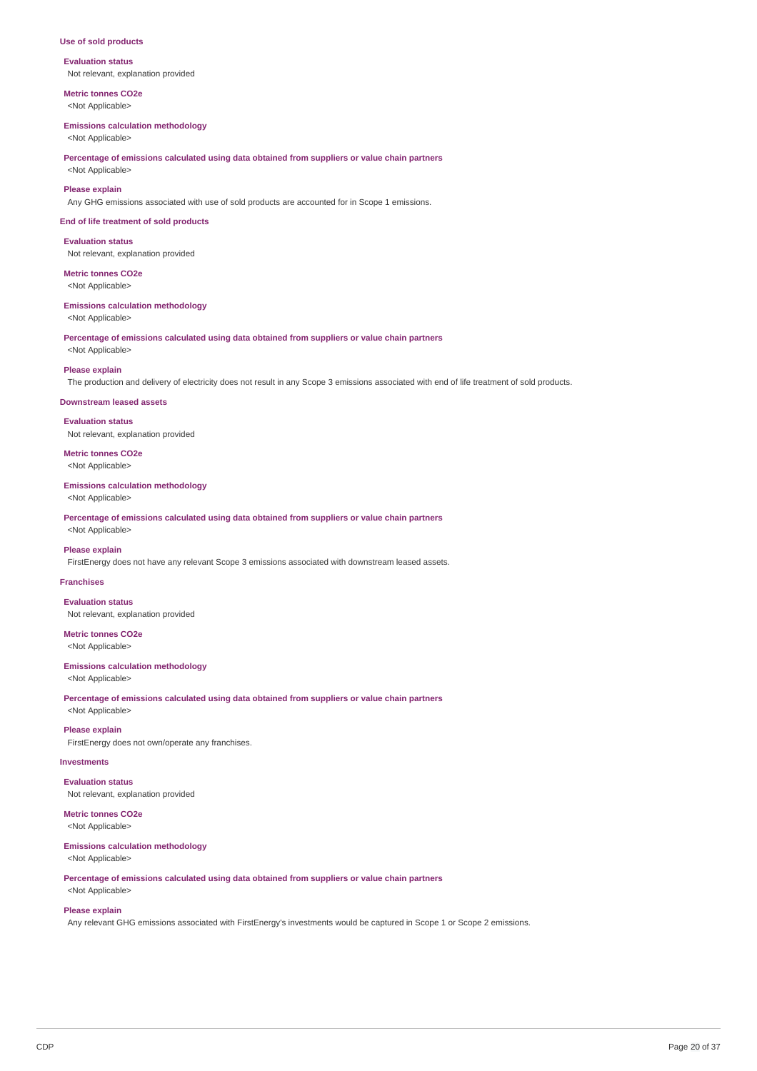#### **Use of sold products**

**Evaluation status** Not relevant, explanation provided

**Metric tonnes CO2e** <Not Applicable>

#### **Emissions calculation methodology**

<Not Applicable>

### **Percentage of emissions calculated using data obtained from suppliers or value chain partners** <Not Applicable>

**Please explain**

Any GHG emissions associated with use of sold products are accounted for in Scope 1 emissions.

#### **End of life treatment of sold products**

**Evaluation status** Not relevant, explanation provided

**Metric tonnes CO2e** <Not Applicable>

## **Emissions calculation methodology**

<Not Applicable>

**Percentage of emissions calculated using data obtained from suppliers or value chain partners**

<Not Applicable>

### **Please explain**

The production and delivery of electricity does not result in any Scope 3 emissions associated with end of life treatment of sold products.

#### **Downstream leased assets**

**Evaluation status** Not relevant, explanation provided

**Metric tonnes CO2e** <Not Applicable>

## **Emissions calculation methodology**

<Not Applicable>

**Percentage of emissions calculated using data obtained from suppliers or value chain partners** <Not Applicable>

### **Please explain**

FirstEnergy does not have any relevant Scope 3 emissions associated with downstream leased assets.

### **Franchises**

**Evaluation status** Not relevant, explanation provided

### **Metric tonnes CO2e**

<Not Applicable>

#### **Emissions calculation methodology**

<Not Applicable>

**Percentage of emissions calculated using data obtained from suppliers or value chain partners**

## <Not Applicable> **Please explain**

FirstEnergy does not own/operate any franchises.

### **Investments**

**Evaluation status** Not relevant, explanation provided

## **Metric tonnes CO2e**

<Not Applicable>

#### **Emissions calculation methodology** <Not Applicable>

**Percentage of emissions calculated using data obtained from suppliers or value chain partners**

## <Not Applicable> **Please explain**

Any relevant GHG emissions associated with FirstEnergy's investments would be captured in Scope 1 or Scope 2 emissions.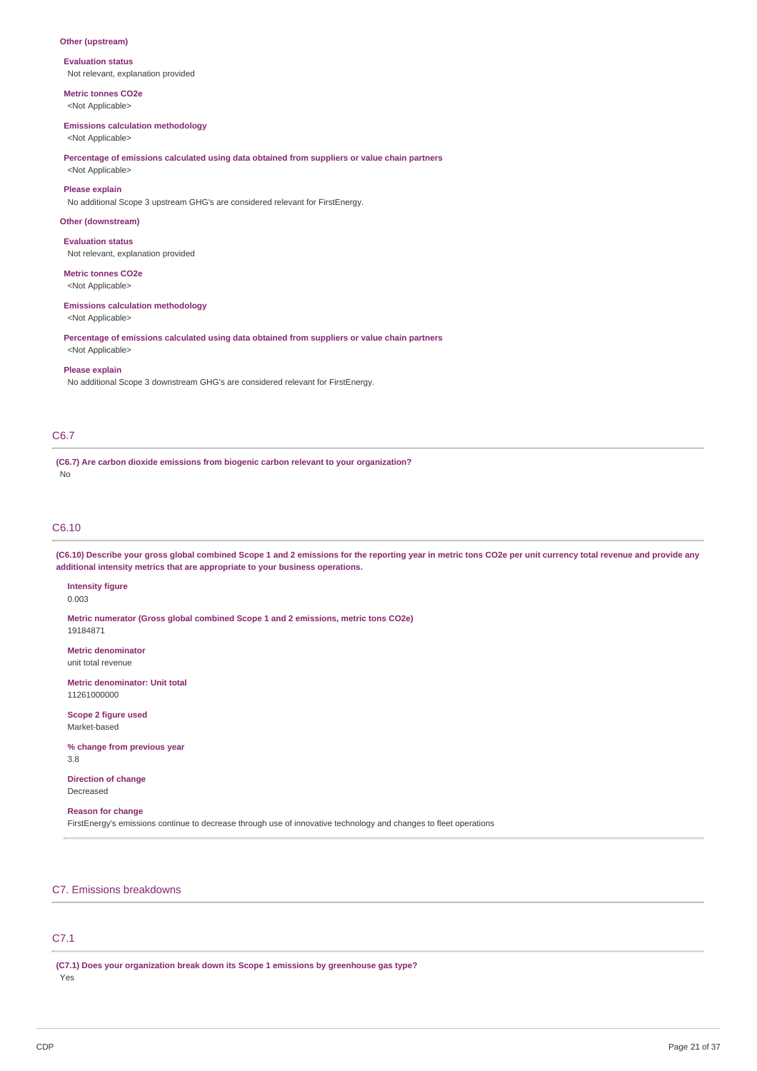### **Other (upstream)**

**Evaluation status**

Not relevant, explanation provided

**Metric tonnes CO2e** <Not Applicable>

#### **Emissions calculation methodology**

<Not Applicable>

### **Percentage of emissions calculated using data obtained from suppliers or value chain partners**

<Not Applicable>

### **Please explain**

No additional Scope 3 upstream GHG's are considered relevant for FirstEnergy.

### **Other (downstream)**

**Evaluation status** Not relevant, explanation provided

#### **Metric tonnes CO2e**

<Not Applicable>

#### **Emissions calculation methodology**

<Not Applicable>

**Percentage of emissions calculated using data obtained from suppliers or value chain partners** <Not Applicable>

#### **Please explain**

No additional Scope 3 downstream GHG's are considered relevant for FirstEnergy.

### C6.7

**(C6.7) Are carbon dioxide emissions from biogenic carbon relevant to your organization?** No

### C6.10

(C6.10) Describe your gross global combined Scope 1 and 2 emissions for the reporting year in metric tons CO2e per unit currency total revenue and provide any **additional intensity metrics that are appropriate to your business operations.**

**Intensity figure** 0.003

**Metric numerator (Gross global combined Scope 1 and 2 emissions, metric tons CO2e)** 19184871

**Metric denominator** unit total revenue

**Metric denominator: Unit total** 11261000000

**Scope 2 figure used** Market-based

**% change from previous year** 3.8

**Direction of change** Decreased

### **Reason for change**

FirstEnergy's emissions continue to decrease through use of innovative technology and changes to fleet operations

### C7. Emissions breakdowns

## C7.1

**(C7.1) Does your organization break down its Scope 1 emissions by greenhouse gas type?** Yes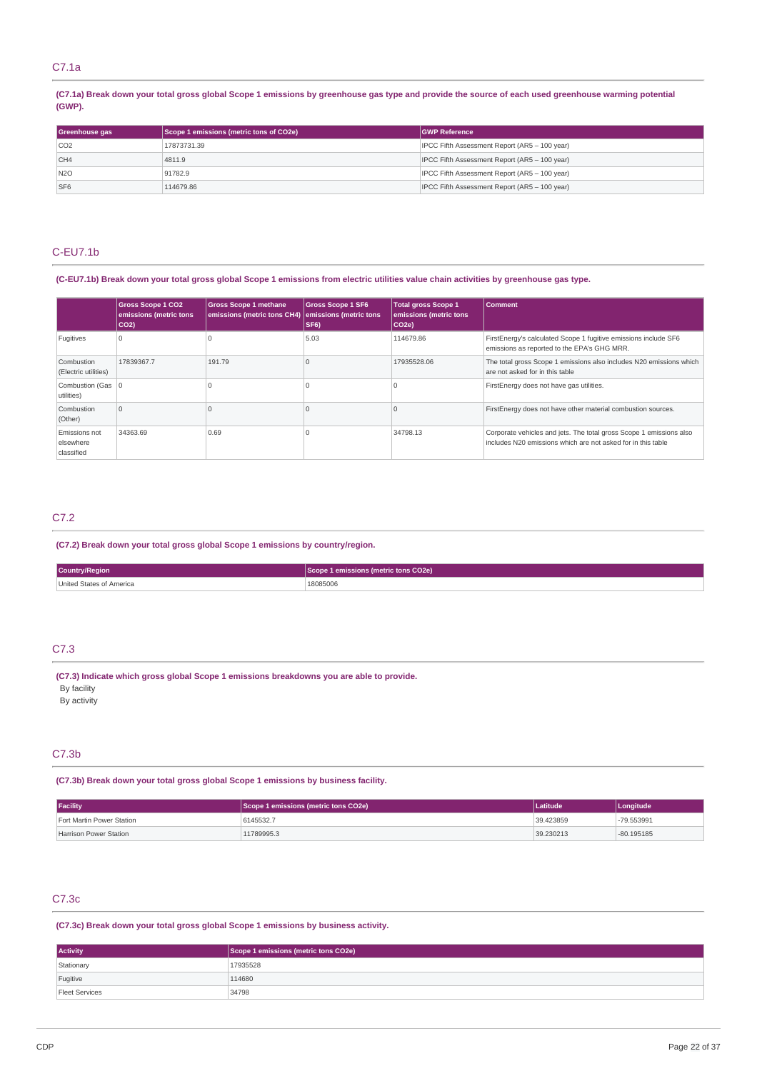### C7.1a

(C7.1a) Break down your total gross global Scope 1 emissions by greenhouse gas type and provide the source of each used greenhouse warming potential **(GWP).**

| Greenhouse gas  | Scope 1 emissions (metric tons of CO2e) | <b>GWP Reference</b>                          |
|-----------------|-----------------------------------------|-----------------------------------------------|
| CO2             | 17873731.39                             | IPCC Fifth Assessment Report (AR5 - 100 year) |
| CH4             | 4811.9                                  | IPCC Fifth Assessment Report (AR5 - 100 year) |
| N2O             | 91782.9                                 | IPCC Fifth Assessment Report (AR5 - 100 year) |
| SF <sub>6</sub> | 114679.86                               | IPCC Fifth Assessment Report (AR5 - 100 year) |

### C-EU7.1b

### (C-EU7.1b) Break down your total gross global Scope 1 emissions from electric utilities value chain activities by greenhouse gas type.

|                                          | <b>Gross Scope 1 CO2</b><br>emissions (metric tons<br>$ CO2\rangle$ | <b>Gross Scope 1 methane</b><br>emissions (metric tons CH4) | <b>Gross Scope 1 SF6</b><br>emissions (metric tons<br>SF <sub>6</sub> ) | <b>Total gross Scope 1</b><br>emissions (metric tons<br>$ CO2e\rangle$ | <b>Comment</b>                                                                                                                      |
|------------------------------------------|---------------------------------------------------------------------|-------------------------------------------------------------|-------------------------------------------------------------------------|------------------------------------------------------------------------|-------------------------------------------------------------------------------------------------------------------------------------|
| Fugitives                                |                                                                     |                                                             | 5.03                                                                    | 114679.86                                                              | FirstEnergy's calculated Scope 1 fugitive emissions include SF6<br>emissions as reported to the EPA's GHG MRR.                      |
| Combustion<br>(Electric utilities)       | 17839367.7                                                          | 191.79                                                      |                                                                         | 17935528.06                                                            | The total gross Scope 1 emissions also includes N20 emissions which<br>are not asked for in this table                              |
| Combustion (Gas   0<br>utilities)        |                                                                     |                                                             |                                                                         |                                                                        | FirstEnergy does not have gas utilities.                                                                                            |
| Combustion<br>(Other)                    | $\Omega$                                                            |                                                             |                                                                         |                                                                        | FirstEnergy does not have other material combustion sources.                                                                        |
| Emissions not<br>elsewhere<br>classified | 34363.69                                                            | 0.69                                                        |                                                                         | 34798.13                                                               | Corporate vehicles and jets. The total gross Scope 1 emissions also<br>includes N20 emissions which are not asked for in this table |

### C7.2

**(C7.2) Break down your total gross global Scope 1 emissions by country/region.**

| Country/Region           | e 1 emissions (metric tons CO2e) |
|--------------------------|----------------------------------|
| United States of America | 18085006                         |

### C7.3

**(C7.3) Indicate which gross global Scope 1 emissions breakdowns you are able to provide.** By facility

By activity

### C7.3b

**(C7.3b) Break down your total gross global Scope 1 emissions by business facility.**

| <b>Facility</b>           | Scope 1 emissions (metric tons CO2e) | Latitude  | Longitude    |
|---------------------------|--------------------------------------|-----------|--------------|
| Fort Martin Power Station | 6145532.7                            | 39.423859 | -79.553991   |
| Harrison Power Station    | 11789995.3                           | 39.230213 | $-80.195185$ |

### C7.3c

**(C7.3c) Break down your total gross global Scope 1 emissions by business activity.**

| <b>Activity</b> | Scope 1 emissions (metric tons CO2e) |  |
|-----------------|--------------------------------------|--|
| Stationary      | 17935528                             |  |
| Fugitive        | 114680                               |  |
| Fleet Services  | 34798                                |  |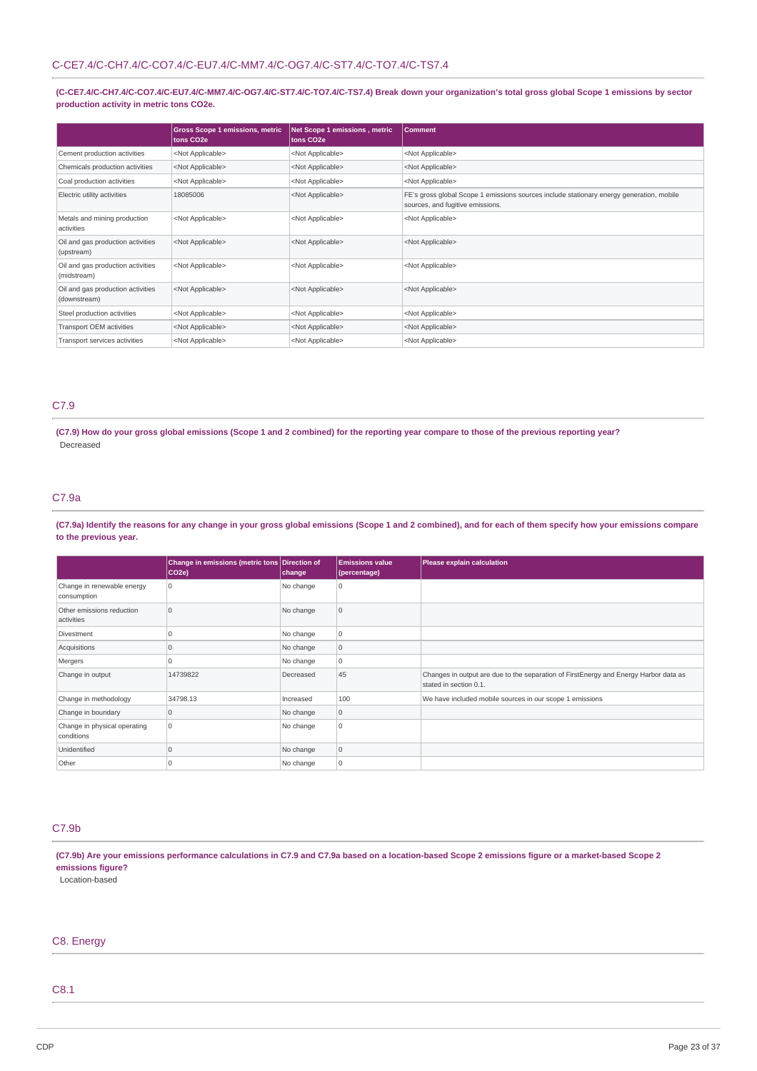(C-CE7.4/C-CH7.4/C-CO7.4/C-EU7.4/C-MM7.4/C-OG7.4/C-ST7.4/C-TO7.4/C-TS7.4) Break down your organization's total gross global Scope 1 emissions by sector **production activity in metric tons CO2e.**

|                                                   | <b>Gross Scope 1 emissions, metric</b><br>tons CO <sub>2</sub> e | Net Scope 1 emissions, metric<br>tons CO <sub>2</sub> e | <b>Comment</b>                                                                                                               |
|---------------------------------------------------|------------------------------------------------------------------|---------------------------------------------------------|------------------------------------------------------------------------------------------------------------------------------|
| Cement production activities                      | <not applicable=""></not>                                        | <not applicable=""></not>                               | <not applicable=""></not>                                                                                                    |
| Chemicals production activities                   | <not applicable=""></not>                                        | <not applicable=""></not>                               | <not applicable=""></not>                                                                                                    |
| Coal production activities                        | <not applicable=""></not>                                        | <not applicable=""></not>                               | <not applicable=""></not>                                                                                                    |
| Electric utility activities                       | 18085006                                                         | <not applicable=""></not>                               | FE's gross global Scope 1 emissions sources include stationary energy generation, mobile<br>sources, and fugitive emissions. |
| Metals and mining production<br>activities        | <not applicable=""></not>                                        | <not applicable=""></not>                               | <not applicable=""></not>                                                                                                    |
| Oil and gas production activities<br>(upstream)   | <not applicable=""></not>                                        | <not applicable=""></not>                               | <not applicable=""></not>                                                                                                    |
| Oil and gas production activities<br>(midstream)  | <not applicable=""></not>                                        | <not applicable=""></not>                               | <not applicable=""></not>                                                                                                    |
| Oil and gas production activities<br>(downstream) | <not applicable=""></not>                                        | <not applicable=""></not>                               | <not applicable=""></not>                                                                                                    |
| Steel production activities                       | <not applicable=""></not>                                        | <not applicable=""></not>                               | <not applicable=""></not>                                                                                                    |
| Transport OEM activities                          | <not applicable=""></not>                                        | <not applicable=""></not>                               | <not applicable=""></not>                                                                                                    |
| Transport services activities                     | <not applicable=""></not>                                        | <not applicable=""></not>                               | <not applicable=""></not>                                                                                                    |

### C7.9

(C7.9) How do your gross global emissions (Scope 1 and 2 combined) for the reporting year compare to those of the previous reporting year? Decreased

## C7.9a

(C7.9a) Identify the reasons for any change in your gross global emissions (Scope 1 and 2 combined), and for each of them specify how your emissions compare **to the previous year.**

|                                            | Change in emissions (metric tons Direction of<br>$ CO2e\rangle$ | change    | <b>Emissions value</b><br>(percentage) | Please explain calculation                                                                                     |
|--------------------------------------------|-----------------------------------------------------------------|-----------|----------------------------------------|----------------------------------------------------------------------------------------------------------------|
| Change in renewable energy<br>consumption  | 10                                                              | No change | 0                                      |                                                                                                                |
| Other emissions reduction<br>activities    | 10                                                              | No change | 10                                     |                                                                                                                |
| Divestment                                 |                                                                 | No change | l O                                    |                                                                                                                |
| Acquisitions                               |                                                                 | No change | 10                                     |                                                                                                                |
| Mergers                                    |                                                                 | No change | 0                                      |                                                                                                                |
| Change in output                           | 14739822                                                        | Decreased | 45                                     | Changes in output are due to the separation of FirstEnergy and Energy Harbor data as<br>stated in section 0.1. |
| Change in methodology                      | 34798.13                                                        | Increased | 100                                    | We have included mobile sources in our scope 1 emissions                                                       |
| Change in boundary                         | $\Omega$                                                        | No change | 0                                      |                                                                                                                |
| Change in physical operating<br>conditions | l O                                                             | No change | $\Omega$                               |                                                                                                                |
| Unidentified                               |                                                                 | No change | $\overline{0}$                         |                                                                                                                |
| Other                                      |                                                                 | No change | 10                                     |                                                                                                                |

### C7.9b

(C7.9b) Are your emissions performance calculations in C7.9 and C7.9a based on a location-based Scope 2 emissions figure or a market-based Scope 2 **emissions figure?**

Location-based

### C8. Energy

## C8.1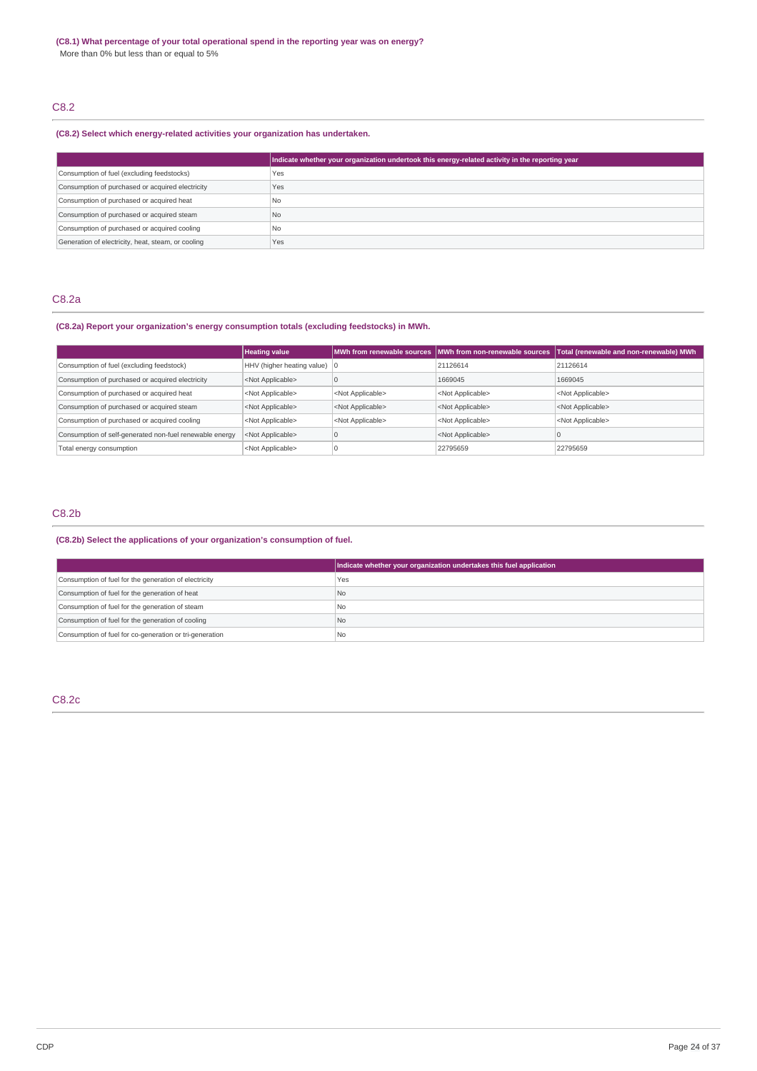## C8.2

### **(C8.2) Select which energy-related activities your organization has undertaken.**

|                                                    | Indicate whether your organization undertook this energy-related activity in the reporting year |
|----------------------------------------------------|-------------------------------------------------------------------------------------------------|
| Consumption of fuel (excluding feedstocks)         | Yes                                                                                             |
| Consumption of purchased or acquired electricity   | Yes                                                                                             |
| Consumption of purchased or acquired heat          | No                                                                                              |
| Consumption of purchased or acquired steam         | N <sub>0</sub>                                                                                  |
| Consumption of purchased or acquired cooling       | 'No                                                                                             |
| Generation of electricity, heat, steam, or cooling | Yes                                                                                             |

### C8.2a

### **(C8.2a) Report your organization's energy consumption totals (excluding feedstocks) in MWh.**

|                                                         | <b>Heating value</b>                   |                           | MWh from renewable sources MWh from non-renewable sources | Total (renewable and non-renewable) MWh |
|---------------------------------------------------------|----------------------------------------|---------------------------|-----------------------------------------------------------|-----------------------------------------|
| Consumption of fuel (excluding feedstock)               | HHV (higher heating value) $ 0\rangle$ |                           | 21126614                                                  | 21126614                                |
| Consumption of purchased or acquired electricity        | <not applicable=""></not>              |                           | 1669045                                                   | 1669045                                 |
| Consumption of purchased or acquired heat               | <not applicable=""></not>              | <not applicable=""></not> | <not applicable=""></not>                                 | <not applicable=""></not>               |
| Consumption of purchased or acquired steam              | <not applicable=""></not>              | <not applicable=""></not> | <not applicable=""></not>                                 | <not applicable=""></not>               |
| Consumption of purchased or acquired cooling            | <not applicable=""></not>              | <not applicable=""></not> | <not applicable=""></not>                                 | <not applicable=""></not>               |
| Consumption of self-generated non-fuel renewable energy | <not applicable=""></not>              |                           | <not applicable=""></not>                                 |                                         |
| Total energy consumption                                | <not applicable=""></not>              |                           | 22795659                                                  | 22795659                                |

## C8.2b

### **(C8.2b) Select the applications of your organization's consumption of fuel.**

|                                                         | Indicate whether your organization undertakes this fuel application |
|---------------------------------------------------------|---------------------------------------------------------------------|
| Consumption of fuel for the generation of electricity   | Yes                                                                 |
| Consumption of fuel for the generation of heat          | N <sub>o</sub>                                                      |
| Consumption of fuel for the generation of steam         | <b>No</b>                                                           |
| Consumption of fuel for the generation of cooling       | <b>No</b>                                                           |
| Consumption of fuel for co-generation or tri-generation | No                                                                  |

### C8.2c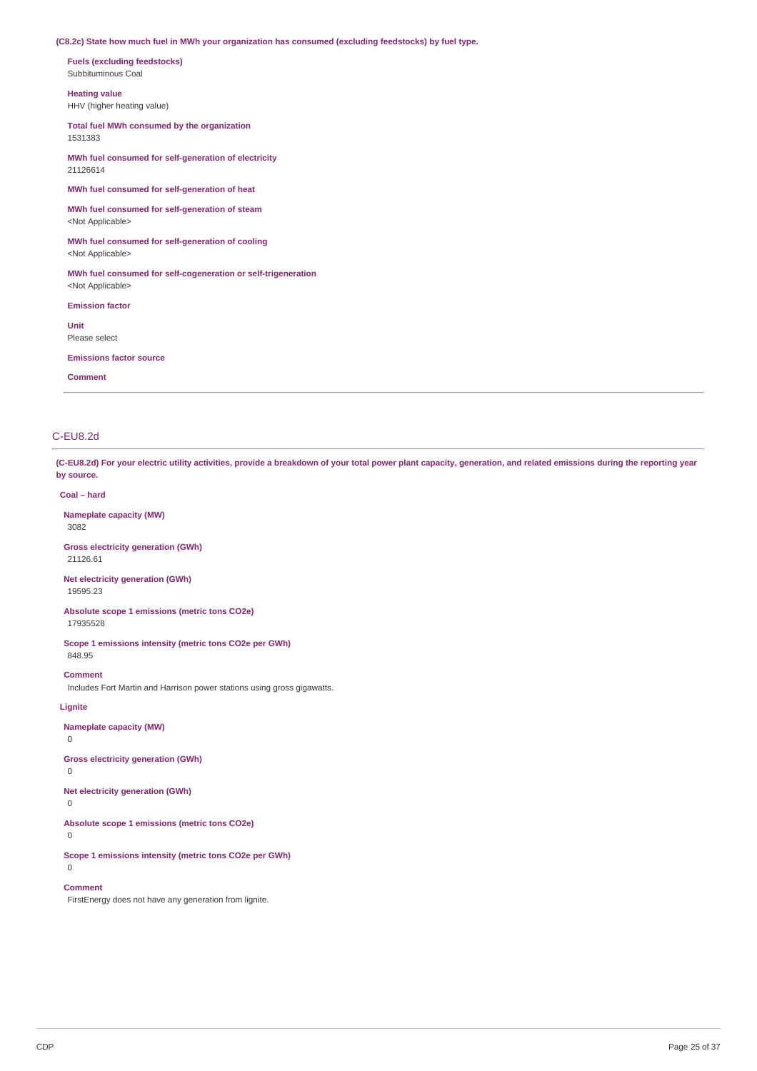### **(C8.2c) State how much fuel in MWh your organization has consumed (excluding feedstocks) by fuel type.**

**Fuels (excluding feedstocks)** Subbituminous Coal

**Heating value** HHV (higher heating value)

**Total fuel MWh consumed by the organization**

1531383 **MWh fuel consumed for self-generation of electricity** 21126614

**MWh fuel consumed for self-generation of heat**

**MWh fuel consumed for self-generation of steam** <Not Applicable>

**MWh fuel consumed for self-generation of cooling** <Not Applicable>

**MWh fuel consumed for self-cogeneration or self-trigeneration** <Not Applicable>

**Emission factor**

**Unit** Please select

**Emissions factor source**

**Comment**

### C-EU8.2d

(C-EU8.2d) For your electric utility activities, provide a breakdown of your total power plant capacity, generation, and related emissions during the reporting year **by source.**

**Coal – hard**

**Nameplate capacity (MW)** 3082

**Gross electricity generation (GWh)** 21126.61

**Net electricity generation (GWh)** 19595.23

**Absolute scope 1 emissions (metric tons CO2e)** 17935528

**Scope 1 emissions intensity (metric tons CO2e per GWh)** 848.95

**Comment**

Includes Fort Martin and Harrison power stations using gross gigawatts.

**Lignite**

**Nameplate capacity (MW)**

 $\Omega$ 

**Gross electricity generation (GWh)**

0

**Net electricity generation (GWh)** 0

**Absolute scope 1 emissions (metric tons CO2e)**

0

**Scope 1 emissions intensity (metric tons CO2e per GWh)** 0

**Comment**

FirstEnergy does not have any generation from lignite.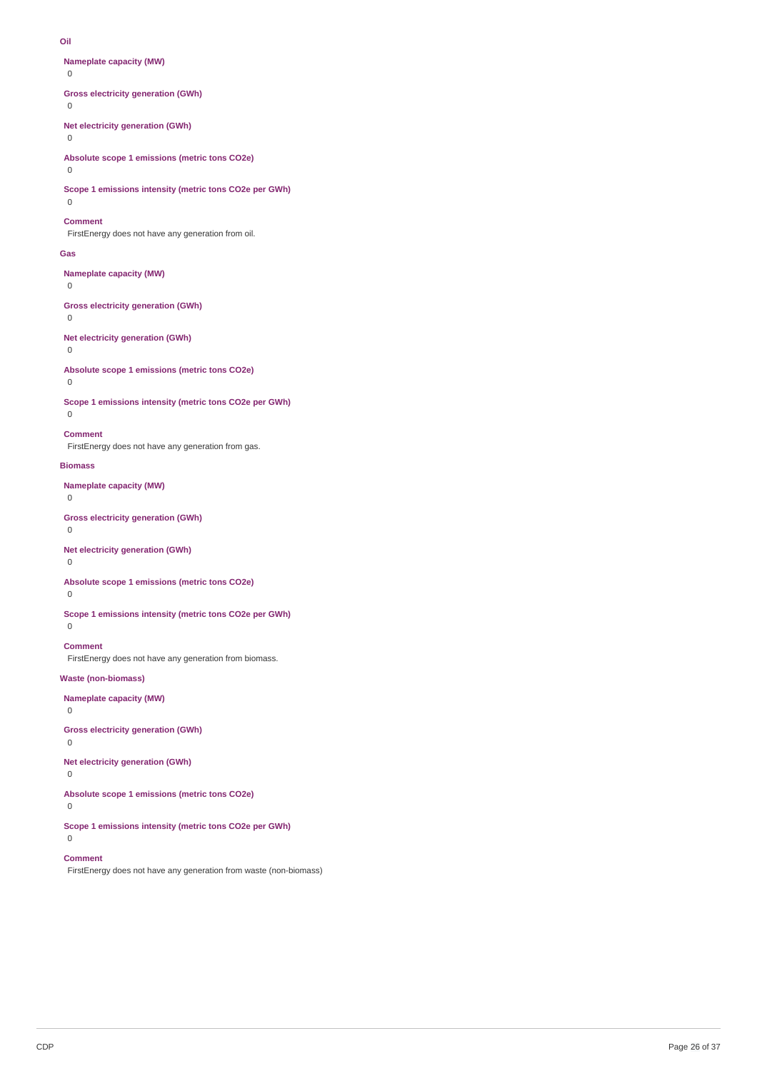#### **Oil**

**Nameplate capacity (MW)**

 $\Omega$ 

**Gross electricity generation (GWh)**

 $\Omega$ 

**Net electricity generation (GWh)**

0

**Absolute scope 1 emissions (metric tons CO2e)**

 $\Omega$ 

**Scope 1 emissions intensity (metric tons CO2e per GWh)**

### $\Omega$ **Comment**

FirstEnergy does not have any generation from oil.

#### **Gas**

**Nameplate capacity (MW)**

### 0

**Gross electricity generation (GWh)**

## 0

**Net electricity generation (GWh)**

### 0

**Absolute scope 1 emissions (metric tons CO2e)**

## 0

 $\Omega$ 

**Scope 1 emissions intensity (metric tons CO2e per GWh)**

### **Comment**

FirstEnergy does not have any generation from gas.

#### **Biomass**

**Nameplate capacity (MW)**

 $\Omega$ 

### **Gross electricity generation (GWh)**

0

### **Net electricity generation (GWh)**

0

### **Absolute scope 1 emissions (metric tons CO2e)**

 $\overline{0}$ 

### **Scope 1 emissions intensity (metric tons CO2e per GWh)**

 $\Omega$ 

# **Comment**

FirstEnergy does not have any generation from biomass.

### **Waste (non-biomass)**

**Nameplate capacity (MW)**

## 0

### **Gross electricity generation (GWh)**

0

## **Net electricity generation (GWh)**

0

## **Absolute scope 1 emissions (metric tons CO2e)**

0

 $\Omega$ 

### **Scope 1 emissions intensity (metric tons CO2e per GWh)**

### **Comment**

FirstEnergy does not have any generation from waste (non-biomass)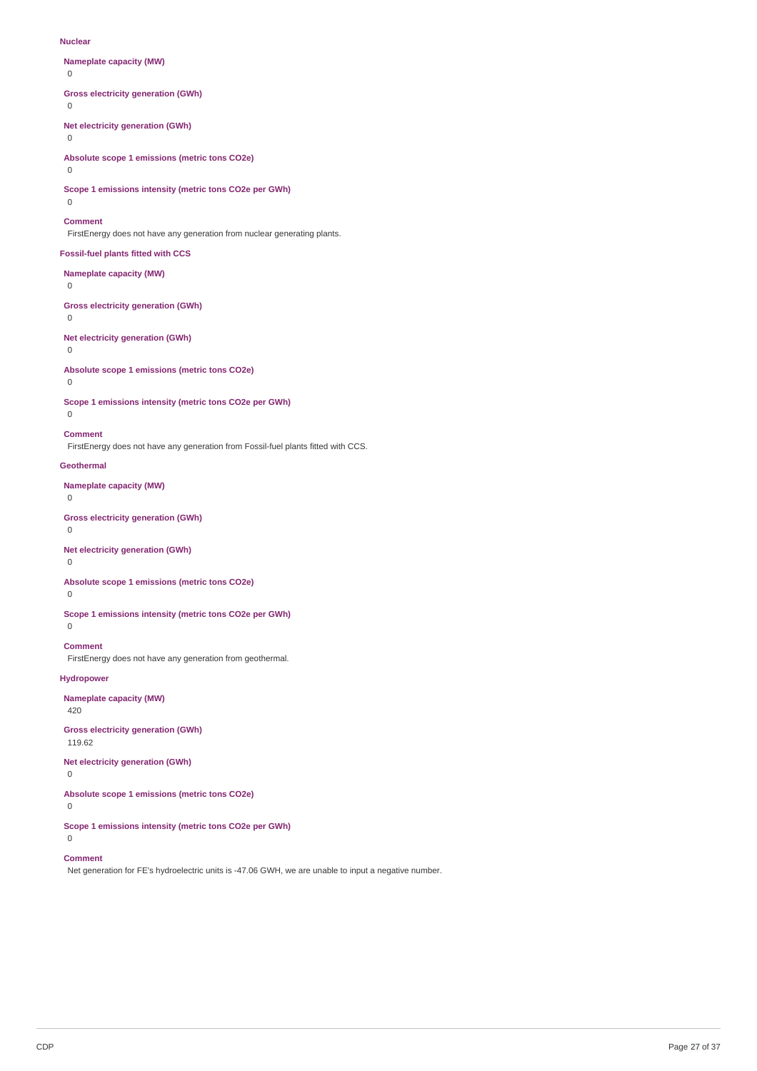#### **Nuclear**

**Nameplate capacity (MW)**

 $\Omega$ 

### **Gross electricity generation (GWh)**

0

**Net electricity generation (GWh)**

0

**Absolute scope 1 emissions (metric tons CO2e)**

 $\Omega$ 

**Scope 1 emissions intensity (metric tons CO2e per GWh)**

#### $\Omega$

**Comment**

FirstEnergy does not have any generation from nuclear generating plants.

#### **Fossil-fuel plants fitted with CCS**

**Nameplate capacity (MW)**

### $\overline{0}$

**Gross electricity generation (GWh)**

## 0

**Net electricity generation (GWh)**

### 0

**Absolute scope 1 emissions (metric tons CO2e)**

### 0

**Scope 1 emissions intensity (metric tons CO2e per GWh)**

## $\Omega$

**Comment**

FirstEnergy does not have any generation from Fossil-fuel plants fitted with CCS.

### **Geothermal**

**Nameplate capacity (MW)**

 $\Omega$ 

### **Gross electricity generation (GWh)**

0

### **Net electricity generation (GWh)**

0

### **Absolute scope 1 emissions (metric tons CO2e)**

 $\overline{0}$ 

**Scope 1 emissions intensity (metric tons CO2e per GWh)**  $\Omega$ 

## **Comment**

FirstEnergy does not have any generation from geothermal.

### **Hydropower**

**Nameplate capacity (MW)**

## 420

**Gross electricity generation (GWh)** 119.62

**Net electricity generation (GWh)** 0

 $\Omega$ 

### **Absolute scope 1 emissions (metric tons CO2e)**

0

### **Scope 1 emissions intensity (metric tons CO2e per GWh)**

#### **Comment**

Net generation for FE's hydroelectric units is -47.06 GWH, we are unable to input a negative number.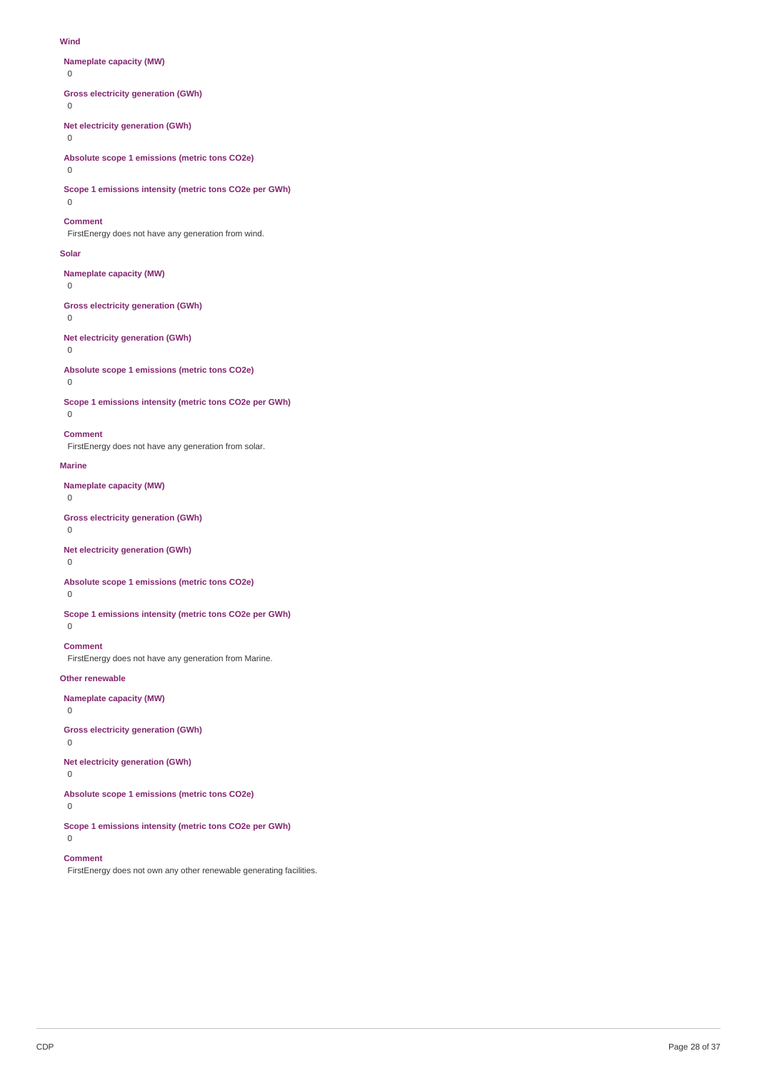#### **Wind**

**Nameplate capacity (MW)**

 $\Omega$ 

**Gross electricity generation (GWh)**

0

**Net electricity generation (GWh)**

0

**Absolute scope 1 emissions (metric tons CO2e)**

 $\Omega$ 

**Scope 1 emissions intensity (metric tons CO2e per GWh)**  $\Omega$ 

### **Comment**

FirstEnergy does not have any generation from wind.

#### **Solar**

**Nameplate capacity (MW)**

0

**Gross electricity generation (GWh)**

## 0

**Net electricity generation (GWh)**

0

**Absolute scope 1 emissions (metric tons CO2e)**

# 0  $\Omega$

**Scope 1 emissions intensity (metric tons CO2e per GWh)**

### **Comment**

FirstEnergy does not have any generation from solar.

### **Marine**

**Nameplate capacity (MW)**

 $\Omega$ 

### **Gross electricity generation (GWh)**

 $\Omega$ 

### **Net electricity generation (GWh)**

0

### **Absolute scope 1 emissions (metric tons CO2e)**

 $\overline{0}$ 

### **Scope 1 emissions intensity (metric tons CO2e per GWh)**

 $\Omega$ 

## **Comment**

FirstEnergy does not have any generation from Marine.

### **Other renewable**

**Nameplate capacity (MW)**

## 0

## **Gross electricity generation (GWh)**

0

## **Net electricity generation (GWh)**

0

## **Absolute scope 1 emissions (metric tons CO2e)**

0

 $\Omega$ 

### **Scope 1 emissions intensity (metric tons CO2e per GWh)**

### **Comment**

FirstEnergy does not own any other renewable generating facilities.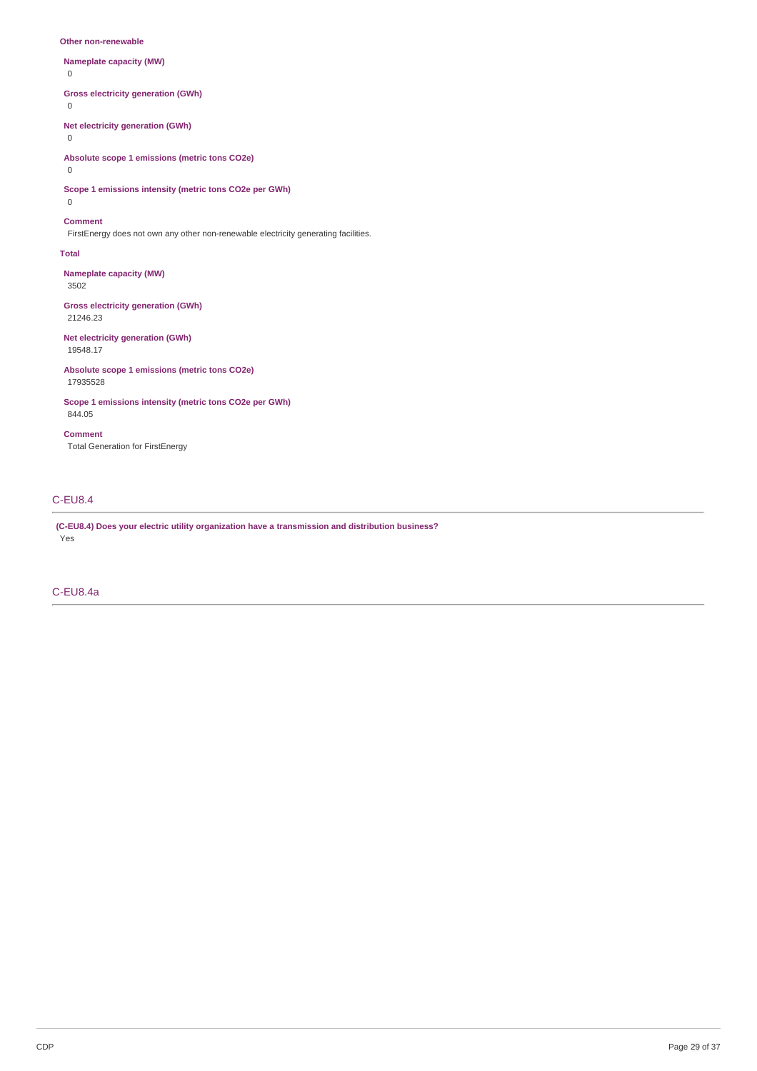#### **Other non-renewable**

**Nameplate capacity (MW)**  $\Omega$ **Gross electricity generation (GWh)** 0 **Net electricity generation (GWh)** 0 **Absolute scope 1 emissions (metric tons CO2e)**  $\Omega$ 

**Scope 1 emissions intensity (metric tons CO2e per GWh)** 0

#### **Comment**

FirstEnergy does not own any other non-renewable electricity generating facilities.

#### **Total**

**Nameplate capacity (MW)** 3502

**Gross electricity generation (GWh)** 21246.23

**Net electricity generation (GWh)** 19548.17

**Absolute scope 1 emissions (metric tons CO2e)** 17935528

**Scope 1 emissions intensity (metric tons CO2e per GWh)** 844.05

**Comment** Total Generation for FirstEnergy

### C-EU8.4

**(C-EU8.4) Does your electric utility organization have a transmission and distribution business?** Yes

### C-EU8.4a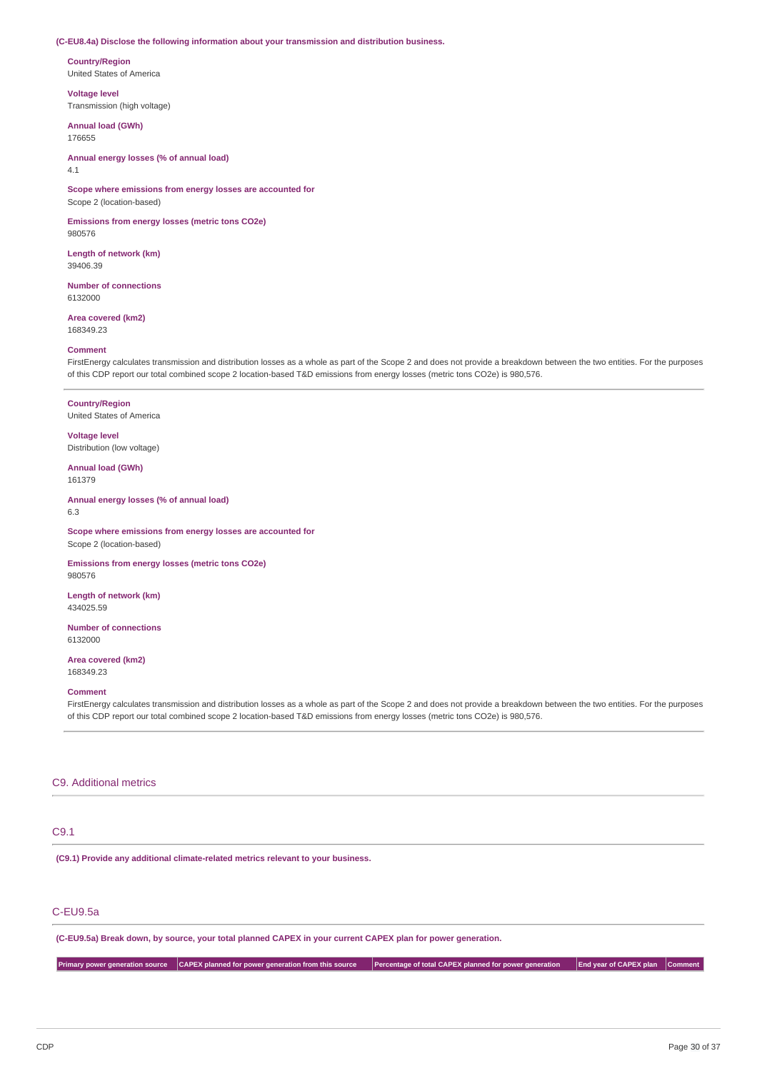#### **(C-EU8.4a) Disclose the following information about your transmission and distribution business.**

**Country/Region** United States of America

**Voltage level**

Transmission (high voltage)

### **Annual load (GWh)** 176655

**Annual energy losses (% of annual load)** 4.1

**Scope where emissions from energy losses are accounted for** Scope 2 (location-based)

**Emissions from energy losses (metric tons CO2e)** 980576

**Length of network (km)** 39406.39

**Number of connections** 6132000

**Area covered (km2)** 168349.23

#### **Comment**

FirstEnergy calculates transmission and distribution losses as a whole as part of the Scope 2 and does not provide a breakdown between the two entities. For the purposes of this CDP report our total combined scope 2 location-based T&D emissions from energy losses (metric tons CO2e) is 980,576.

**Country/Region** United States of America

**Voltage level** Distribution (low voltage)

**Annual load (GWh)** 161379

**Annual energy losses (% of annual load)** 6.3

**Scope where emissions from energy losses are accounted for** Scope 2 (location-based)

**Emissions from energy losses (metric tons CO2e)** 980576

**Length of network (km)** 434025.59

**Number of connections** 6132000

**Area covered (km2)** 168349.23

**Comment**

FirstEnergy calculates transmission and distribution losses as a whole as part of the Scope 2 and does not provide a breakdown between the two entities. For the purposes of this CDP report our total combined scope 2 location-based T&D emissions from energy losses (metric tons CO2e) is 980,576.

### C9. Additional metrics

### C9.1

**(C9.1) Provide any additional climate-related metrics relevant to your business.**

### C-EU9.5a

(C-EU9.5a) Break down, by source, your total planned CAPEX in your current CAPEX plan for power generation.

Primary power generation source CAPEX planned for power generation from this source Percentage of total CAPEX planned for power generation End year of CAPEX plan Comment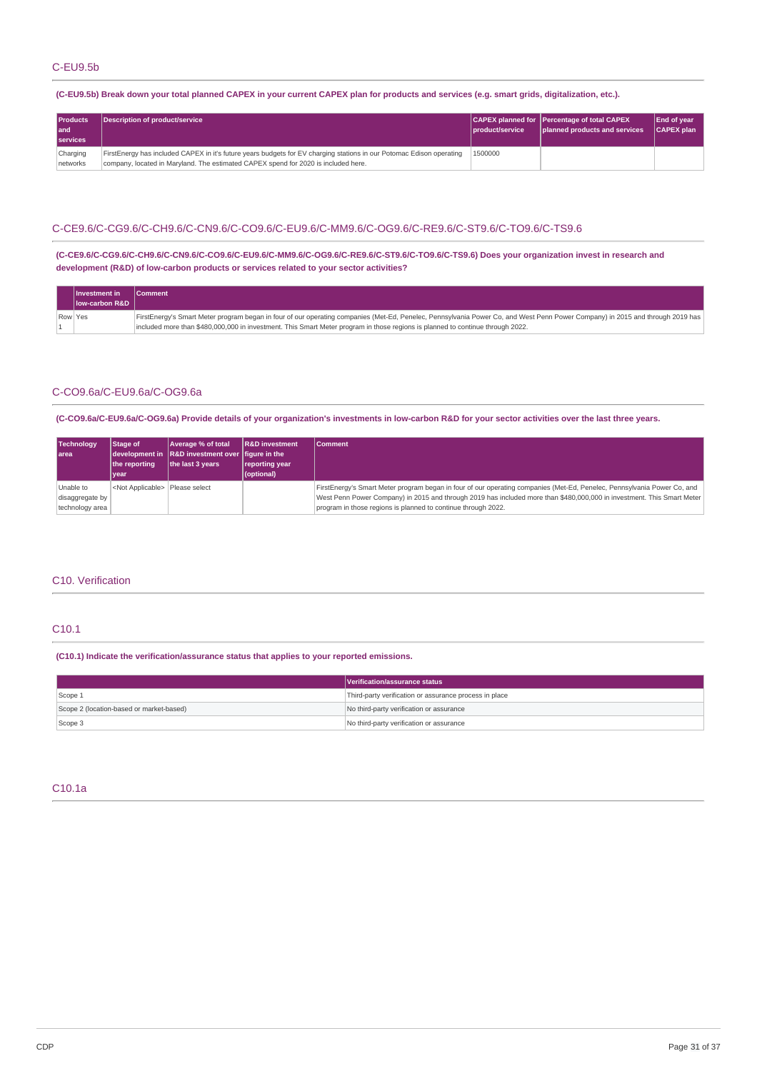### (C-EU9.5b) Break down your total planned CAPEX in your current CAPEX plan for products and services (e.g. smart grids, digitalization, etc.).

| <b>Products</b><br>l and<br><b>services</b> | Description of product/service                                                                                                                                                                             | <i><b>product/service</b></i> | CAPEX planned for Percentage of total CAPEX<br>planned products and services | <b>End of year</b><br>CAPEX plan |
|---------------------------------------------|------------------------------------------------------------------------------------------------------------------------------------------------------------------------------------------------------------|-------------------------------|------------------------------------------------------------------------------|----------------------------------|
| Charging<br>networks                        | FirstEnergy has included CAPEX in it's future years budgets for EV charging stations in our Potomac Edison operating<br>company, located in Maryland. The estimated CAPEX spend for 2020 is included here. | 1500000                       |                                                                              |                                  |

### C-CE9.6/C-CG9.6/C-CH9.6/C-CN9.6/C-CO9.6/C-EU9.6/C-MM9.6/C-OG9.6/C-RE9.6/C-ST9.6/C-TO9.6/C-TS9.6

**(C-CE9.6/C-CG9.6/C-CH9.6/C-CN9.6/C-CO9.6/C-EU9.6/C-MM9.6/C-OG9.6/C-RE9.6/C-ST9.6/C-TO9.6/C-TS9.6) Does your organization invest in research and development (R&D) of low-carbon products or services related to your sector activities?**

|         | ⊾l Investment in           | <b>Comment</b>                                                                                                                                                                |
|---------|----------------------------|-------------------------------------------------------------------------------------------------------------------------------------------------------------------------------|
|         | <b>Ilow-carbon R&amp;D</b> |                                                                                                                                                                               |
| Row Yes |                            | FirstEnergy's Smart Meter program began in four of our operating companies (Met-Ed, Penelec, Pennsylvania Power Co, and West Penn Power Company) in 2015 and through 2019 has |
|         |                            | included more than \$480,000,000 in investment. This Smart Meter program in those regions is planned to continue through 2022.                                                |

### C-CO9.6a/C-EU9.6a/C-OG9.6a

(C-CO9.6a/C-EU9.6a/C-OG9.6a) Provide details of your organization's investments in low-carbon R&D for your sector activities over the last three years.

| <b>Technology</b><br>l area                     | <b>Stage of</b><br>the reporting<br><b>vear</b> | Average % of total<br>$\vert$ development in $\vert$ R&D investment over $\vert$ figure in the<br>the last 3 years | <b>R&amp;D</b> investment<br>reporting year<br>(optional) | <b>Comment</b>                                                                                                                                                                                                                                                                                                      |
|-------------------------------------------------|-------------------------------------------------|--------------------------------------------------------------------------------------------------------------------|-----------------------------------------------------------|---------------------------------------------------------------------------------------------------------------------------------------------------------------------------------------------------------------------------------------------------------------------------------------------------------------------|
| Unable to<br>disaggregate by<br>technology area | <not applicable="">   Please select</not>       |                                                                                                                    |                                                           | FirstEnergy's Smart Meter program began in four of our operating companies (Met-Ed, Penelec, Pennsylvania Power Co, and<br> West Penn Power Company) in 2015 and through 2019 has included more than \$480,000,000 in investment. This Smart Meter<br>program in those regions is planned to continue through 2022. |

### C10. Verification

### C10.1

**(C10.1) Indicate the verification/assurance status that applies to your reported emissions.**

|                                          | Verification/assurance status                          |  |
|------------------------------------------|--------------------------------------------------------|--|
| Scope 1                                  | Third-party verification or assurance process in place |  |
| Scope 2 (location-based or market-based) | No third-party verification or assurance               |  |
| Scope 3                                  | No third-party verification or assurance               |  |

### C10.1a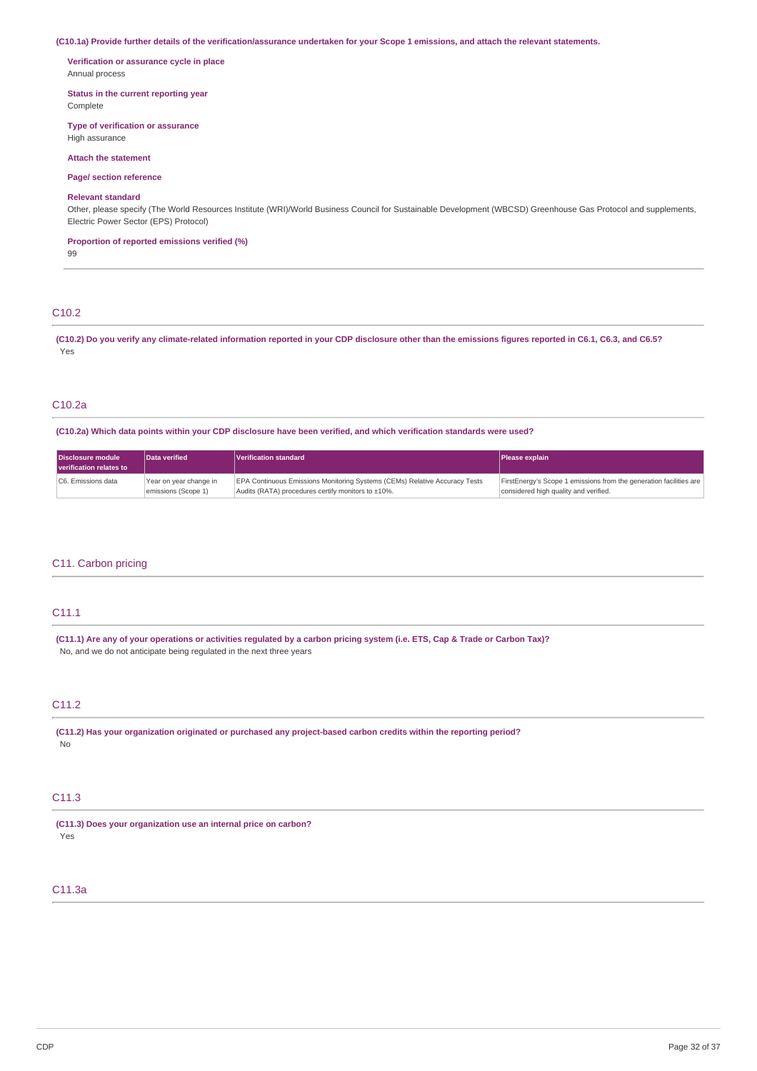#### (C10.1a) Provide further details of the verification/assurance undertaken for your Scope 1 emissions, and attach the relevant statements.

**Verification or assurance cycle in place** Annual process

**Status in the current reporting year**

Complete

**Type of verification or assurance**

High assurance

### **Attach the statement**

**Page/ section reference**

#### **Relevant standard**

Other, please specify (The World Resources Institute (WRI)/World Business Council for Sustainable Development (WBCSD) Greenhouse Gas Protocol and supplements, Electric Power Sector (EPS) Protocol)

**Proportion of reported emissions verified (%)**

99

### C10.2

(C10.2) Do you verify any climate-related information reported in your CDP disclosure other than the emissions figures reported in C6.1, C6.3, and C6.5? Yes

### C10.2a

(C10.2a) Which data points within your CDP disclosure have been verified, and which verification standards were used?

| Disclosure module<br>verification relates to | Data verified          | Verification standard                                                             | <b>Please explain</b>                                              |
|----------------------------------------------|------------------------|-----------------------------------------------------------------------------------|--------------------------------------------------------------------|
| C6. Emissions data                           | Year on year change in | <b>EPA Continuous Emissions Monitoring Systems (CEMs) Relative Accuracy Tests</b> | FirstEnergy's Scope 1 emissions from the generation facilities are |
|                                              | emissions (Scope 1)    | Audits (RATA) procedures certify monitors to ±10%.                                | considered high quality and verified.                              |

### C11. Carbon pricing

### C11.1

(C11.1) Are any of your operations or activities regulated by a carbon pricing system (i.e. ETS, Cap & Trade or Carbon Tax)? No, and we do not anticipate being regulated in the next three years

### C11.2

**(C11.2) Has your organization originated or purchased any project-based carbon credits within the reporting period?** No

### C11.3

**(C11.3) Does your organization use an internal price on carbon?** Yes

### C11.3a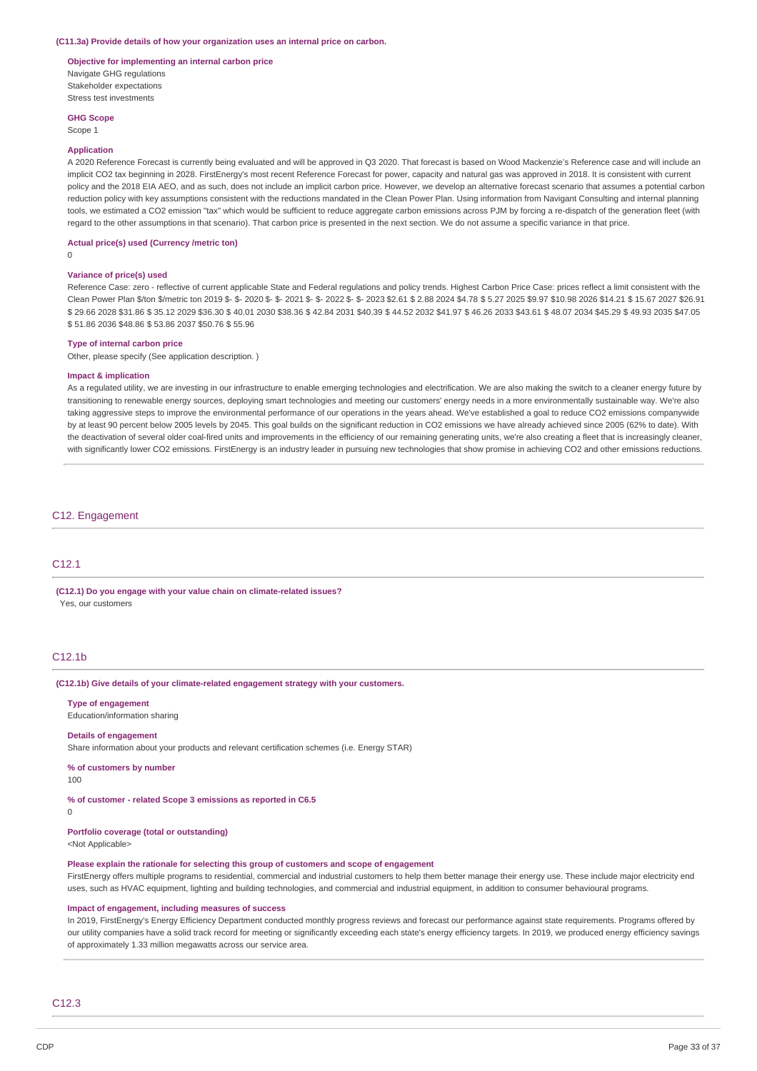#### **(C11.3a) Provide details of how your organization uses an internal price on carbon.**

**Objective for implementing an internal carbon price** Navigate GHG regulations Stakeholder expectations Stress test investments

**GHG Scope**

Scope 1

#### **Application**

A 2020 Reference Forecast is currently being evaluated and will be approved in Q3 2020. That forecast is based on Wood Mackenzie's Reference case and will include an implicit CO2 tax beginning in 2028. FirstEnergy's most recent Reference Forecast for power, capacity and natural gas was approved in 2018. It is consistent with current policy and the 2018 EIA AEO, and as such, does not include an implicit carbon price. However, we develop an alternative forecast scenario that assumes a potential carbon reduction policy with key assumptions consistent with the reductions mandated in the Clean Power Plan. Using information from Navigant Consulting and internal planning tools, we estimated a CO2 emission "tax" which would be sufficient to reduce aggregate carbon emissions across PJM by forcing a re-dispatch of the generation fleet (with regard to the other assumptions in that scenario). That carbon price is presented in the next section. We do not assume a specific variance in that price.

### **Actual price(s) used (Currency /metric ton)**

 $\Omega$ 

### **Variance of price(s) used**

Reference Case: zero - reflective of current applicable State and Federal regulations and policy trends. Highest Carbon Price Case: prices reflect a limit consistent with the Clean Power Plan \$/ton \$/metric ton 2019 \$- \$- 2020 \$- \$- 2021 \$- \$- 2022 \$- \$- 2023 \$2.61 \$ 2.88 2024 \$4.78 \$ 5.27 2025 \$9.97 \$10.98 2026 \$14.21 \$ 15.67 2027 \$26.91 \$ 29.66 2028 \$31.86 \$ 35.12 2029 \$36.30 \$ 40.01 2030 \$38.36 \$ 42.84 2031 \$40.39 \$ 44.52 2032 \$41.97 \$ 46.26 2033 \$43.61 \$ 48.07 2034 \$45.29 \$ 49.93 2035 \$47.05 \$ 51.86 2036 \$48.86 \$ 53.86 2037 \$50.76 \$ 55.96

#### **Type of internal carbon price**

Other, please specify (See application description. )

#### **Impact & implication**

As a regulated utility, we are investing in our infrastructure to enable emerging technologies and electrification. We are also making the switch to a cleaner energy future by transitioning to renewable energy sources, deploying smart technologies and meeting our customers' energy needs in a more environmentally sustainable way. We're also taking aggressive steps to improve the environmental performance of our operations in the years ahead. We've established a goal to reduce CO2 emissions companywide by at least 90 percent below 2005 levels by 2045. This goal builds on the significant reduction in CO2 emissions we have already achieved since 2005 (62% to date). With the deactivation of several older coal-fired units and improvements in the efficiency of our remaining generating units, we're also creating a fleet that is increasingly cleaner, with significantly lower CO2 emissions. FirstEnergy is an industry leader in pursuing new technologies that show promise in achieving CO2 and other emissions reductions.

#### C12. Engagement

### C12.1

**(C12.1) Do you engage with your value chain on climate-related issues?** Yes, our customers

### C12.1b

#### **(C12.1b) Give details of your climate-related engagement strategy with your customers.**

**Type of engagement**

Education/information sharing

### **Details of engagement**

Share information about your products and relevant certification schemes (i.e. Energy STAR)

**% of customers by number**

100

### **% of customer - related Scope 3 emissions as reported in C6.5**

 $\Omega$ 

### **Portfolio coverage (total or outstanding)**

<Not Applicable>

### **Please explain the rationale for selecting this group of customers and scope of engagement**

FirstEnergy offers multiple programs to residential, commercial and industrial customers to help them better manage their energy use. These include major electricity end uses, such as HVAC equipment, lighting and building technologies, and commercial and industrial equipment, in addition to consumer behavioural programs.

#### **Impact of engagement, including measures of success**

In 2019, FirstEnergy's Energy Efficiency Department conducted monthly progress reviews and forecast our performance against state requirements. Programs offered by our utility companies have a solid track record for meeting or significantly exceeding each state's energy efficiency targets. In 2019, we produced energy efficiency savings of approximately 1.33 million megawatts across our service area.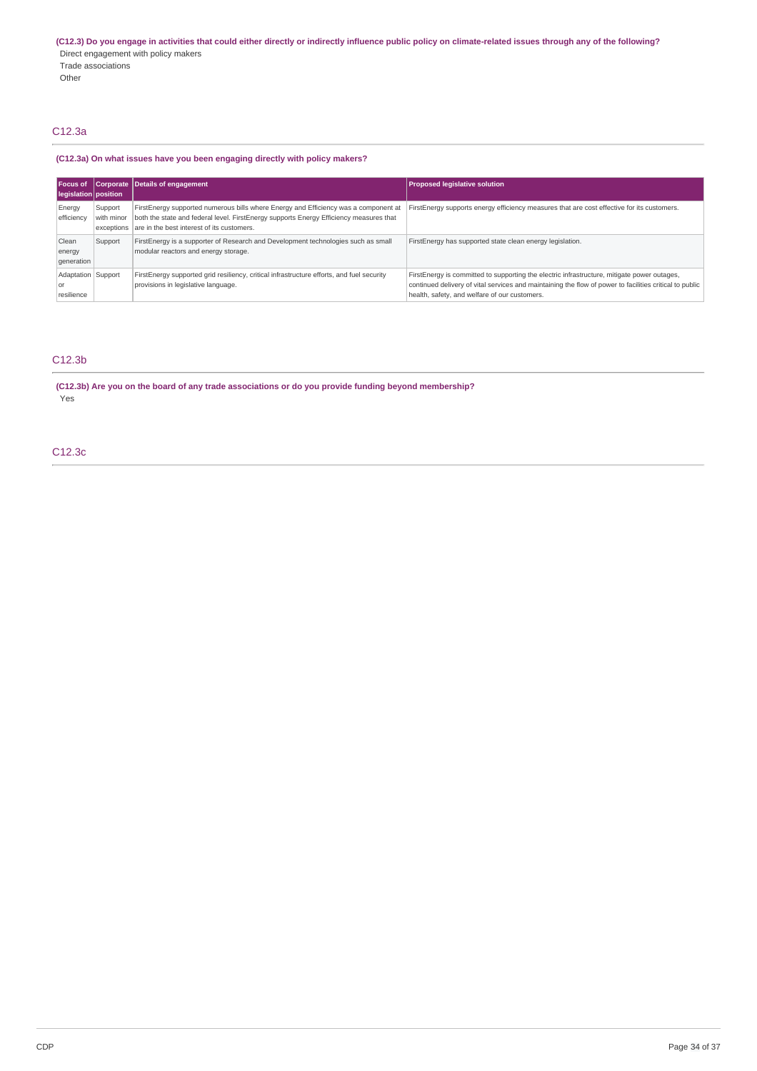(C12.3) Do you engage in activities that could either directly or indirectly influence public policy on climate-related issues through any of the following? Direct engagement with policy makers Trade associations Other

### C12.3a

### **(C12.3a) On what issues have you been engaging directly with policy makers?**

| Focus of<br>legislation   position       |                       | Corporate Details of engagement                                                                                                                                                                                                        | <b>Proposed legislative solution</b>                                                                                                                                                                                                                    |
|------------------------------------------|-----------------------|----------------------------------------------------------------------------------------------------------------------------------------------------------------------------------------------------------------------------------------|---------------------------------------------------------------------------------------------------------------------------------------------------------------------------------------------------------------------------------------------------------|
| Energy<br>efficiency                     | Support<br>with minor | FirstEnergy supported numerous bills where Energy and Efficiency was a component at<br>both the state and federal level. FirstEnergy supports Energy Efficiency measures that<br>exceptions are in the best interest of its customers. | First Energy supports energy efficiency measures that are cost effective for its customers.                                                                                                                                                             |
| Clean<br>energy<br>qeneration            | Support               | FirstEnergy is a supporter of Research and Development technologies such as small<br>modular reactors and energy storage.                                                                                                              | FirstEnergy has supported state clean energy legislation.                                                                                                                                                                                               |
| Adaptation Support<br>l Ol<br>resilience |                       | FirstEnergy supported grid resiliency, critical infrastructure efforts, and fuel security<br>provisions in legislative language.                                                                                                       | FirstEnergy is committed to supporting the electric infrastructure, mitigate power outages,<br>continued delivery of vital services and maintaining the flow of power to facilities critical to public<br>health, safety, and welfare of our customers. |

## C12.3b

**(C12.3b) Are you on the board of any trade associations or do you provide funding beyond membership?** Yes

C12.3c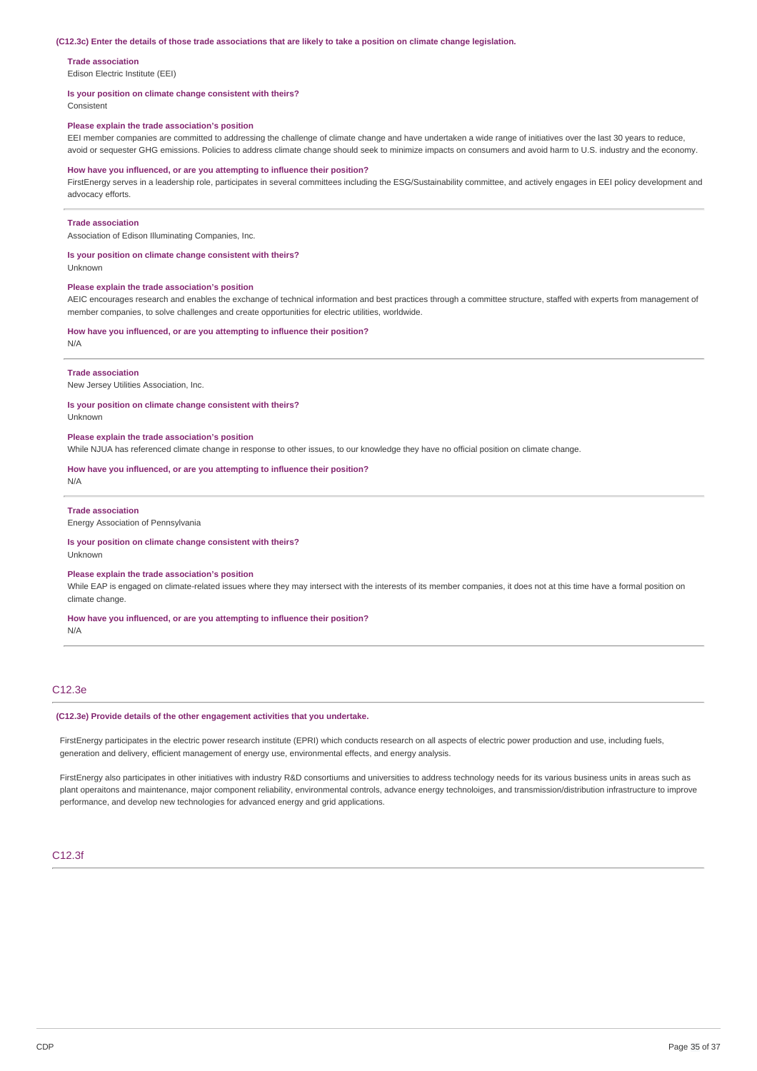#### (C12.3c) Enter the details of those trade associations that are likely to take a position on climate change legislation.

#### **Trade association**

Edison Electric Institute (EEI)

#### **Is your position on climate change consistent with theirs?**

Consistent

#### **Please explain the trade association's position**

EEI member companies are committed to addressing the challenge of climate change and have undertaken a wide range of initiatives over the last 30 years to reduce, avoid or sequester GHG emissions. Policies to address climate change should seek to minimize impacts on consumers and avoid harm to U.S. industry and the economy.

#### **How have you influenced, or are you attempting to influence their position?**

FirstEnergy serves in a leadership role, participates in several committees including the ESG/Sustainability committee, and actively engages in EEI policy development and advocacy efforts.

#### **Trade association**

Association of Edison Illuminating Companies, Inc.

#### **Is your position on climate change consistent with theirs?**

Unknown

#### **Please explain the trade association's position**

AEIC encourages research and enables the exchange of technical information and best practices through a committee structure, staffed with experts from management of member companies, to solve challenges and create opportunities for electric utilities, worldwide.

#### **How have you influenced, or are you attempting to influence their position?**

N/A

#### **Trade association**

New Jersey Utilities Association, Inc.

#### **Is your position on climate change consistent with theirs?**

Unknown

#### **Please explain the trade association's position**

While NJUA has referenced climate change in response to other issues, to our knowledge they have no official position on climate change.

#### **How have you influenced, or are you attempting to influence their position?**

N/A

### **Trade association**

Energy Association of Pennsylvania

#### **Is your position on climate change consistent with theirs?** Unknown

**Please explain the trade association's position** While EAP is engaged on climate-related issues where they may intersect with the interests of its member companies, it does not at this time have a formal position on

climate change.

#### **How have you influenced, or are you attempting to influence their position?**

N/A

### C12.3e

#### **(C12.3e) Provide details of the other engagement activities that you undertake.**

FirstEnergy participates in the electric power research institute (EPRI) which conducts research on all aspects of electric power production and use, including fuels, generation and delivery, efficient management of energy use, environmental effects, and energy analysis.

FirstEnergy also participates in other initiatives with industry R&D consortiums and universities to address technology needs for its various business units in areas such as plant operaitons and maintenance, major component reliability, environmental controls, advance energy technoloiges, and transmission/distribution infrastructure to improve performance, and develop new technologies for advanced energy and grid applications.

#### C12.3f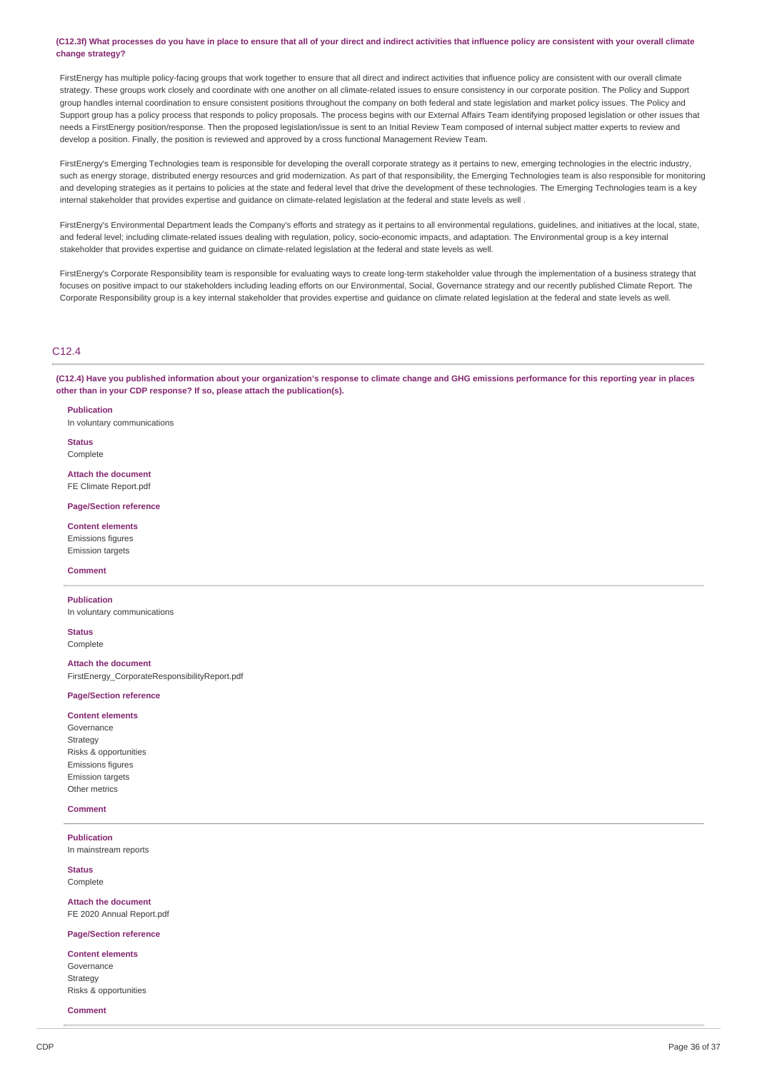(C12.3f) What processes do you have in place to ensure that all of your direct and indirect activities that influence policy are consistent with your overall climate **change strategy?**

FirstEnergy has multiple policy-facing groups that work together to ensure that all direct and indirect activities that influence policy are consistent with our overall climate strategy. These groups work closely and coordinate with one another on all climate-related issues to ensure consistency in our corporate position. The Policy and Support group handles internal coordination to ensure consistent positions throughout the company on both federal and state legislation and market policy issues. The Policy and Support group has a policy process that responds to policy proposals. The process begins with our External Affairs Team identifying proposed legislation or other issues that needs a FirstEnergy position/response. Then the proposed legislation/issue is sent to an Initial Review Team composed of internal subject matter experts to review and develop a position. Finally, the position is reviewed and approved by a cross functional Management Review Team.

FirstEnergy's Emerging Technologies team is responsible for developing the overall corporate strategy as it pertains to new, emerging technologies in the electric industry, such as energy storage, distributed energy resources and grid modernization. As part of that responsibility, the Emerging Technologies team is also responsible for monitoring and developing strategies as it pertains to policies at the state and federal level that drive the development of these technologies. The Emerging Technologies team is a key internal stakeholder that provides expertise and guidance on climate-related legislation at the federal and state levels as well .

FirstEnergy's Environmental Department leads the Company's efforts and strategy as it pertains to all environmental regulations, guidelines, and initiatives at the local, state, and federal level; including climate-related issues dealing with regulation, policy, socio-economic impacts, and adaptation. The Environmental group is a key internal stakeholder that provides expertise and guidance on climate-related legislation at the federal and state levels as well.

FirstEnergy's Corporate Responsibility team is responsible for evaluating ways to create long-term stakeholder value through the implementation of a business strategy that focuses on positive impact to our stakeholders including leading efforts on our Environmental, Social, Governance strategy and our recently published Climate Report. The Corporate Responsibility group is a key internal stakeholder that provides expertise and guidance on climate related legislation at the federal and state levels as well.

#### $C<sub>12.4</sub>$

(C12.4) Have you published information about your organization's response to climate change and GHG emissions performance for this reporting year in places **other than in your CDP response? If so, please attach the publication(s).**

**Publication**

In voluntary communications

**Status** Complete

**Attach the document** FE Climate Report.pdf

#### **Page/Section reference**

**Content elements** Emissions figures Emission targets

#### **Comment**

**Publication**

In voluntary communications

**Status Complete** 

**Attach the document** FirstEnergy\_CorporateResponsibilityReport.pdf

#### **Page/Section reference**

#### **Content elements**

Governance **Strategy** Risks & opportunities Emissions figures Emission targets Other metrics

#### **Comment**

**Publication** In mainstream reports

**Status**

Complete

**Attach the document** FE 2020 Annual Report.pdf

#### **Page/Section reference**

**Content elements** Governance Strategy Risks & opportunities

**Comment**